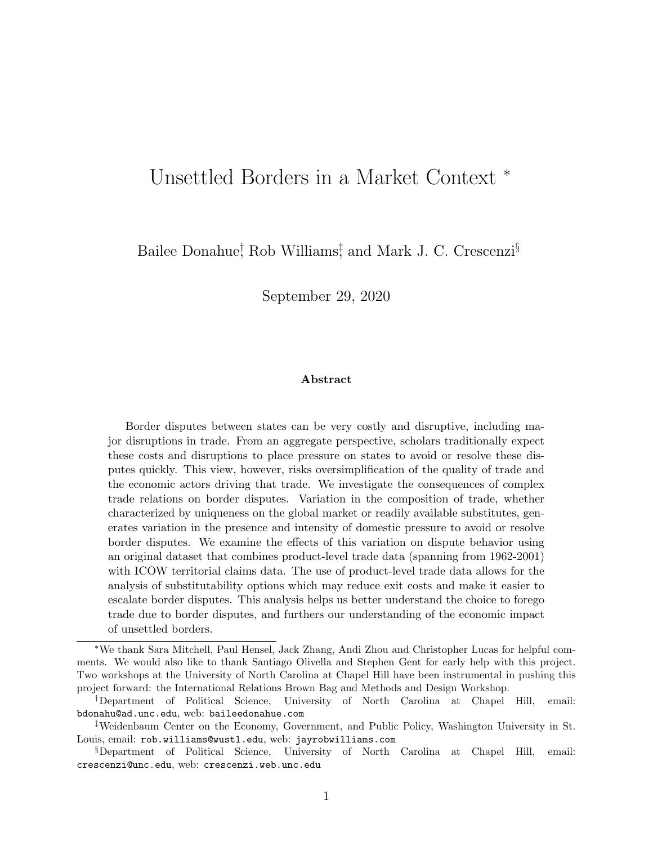# Unsettled Borders in a Market Context <sup>∗</sup>

Bailee Donahue<sup>†</sup>, Rob Williams<sup>†</sup>, and Mark J. C. Crescenzi<sup>§</sup>

September 29, 2020

#### Abstract

Border disputes between states can be very costly and disruptive, including major disruptions in trade. From an aggregate perspective, scholars traditionally expect these costs and disruptions to place pressure on states to avoid or resolve these disputes quickly. This view, however, risks oversimplification of the quality of trade and the economic actors driving that trade. We investigate the consequences of complex trade relations on border disputes. Variation in the composition of trade, whether characterized by uniqueness on the global market or readily available substitutes, generates variation in the presence and intensity of domestic pressure to avoid or resolve border disputes. We examine the effects of this variation on dispute behavior using an original dataset that combines product-level trade data (spanning from 1962-2001) with ICOW territorial claims data. The use of product-level trade data allows for the analysis of substitutability options which may reduce exit costs and make it easier to escalate border disputes. This analysis helps us better understand the choice to forego trade due to border disputes, and furthers our understanding of the economic impact of unsettled borders.

<sup>∗</sup>We thank Sara Mitchell, Paul Hensel, Jack Zhang, Andi Zhou and Christopher Lucas for helpful comments. We would also like to thank Santiago Olivella and Stephen Gent for early help with this project. Two workshops at the University of North Carolina at Chapel Hill have been instrumental in pushing this project forward: the International Relations Brown Bag and Methods and Design Workshop.

<sup>†</sup>Department of Political Science, University of North Carolina at Chapel Hill, email: [bdonahu@ad.unc.edu](mailto:bdonahu@ad.unc.edu), web: [baileedonahue.com](http://baileedonahue.com)

<sup>‡</sup>Weidenbaum Center on the Economy, Government, and Public Policy, Washington University in St. Louis, email: [rob.williams@wustl.edu](mailto:rob.williams@wustl.edu), web: [jayrobwilliams.com](http://jayrobwilliams.com)

<sup>§</sup>Department of Political Science, University of North Carolina at Chapel Hill, email: [crescenzi@unc.edu](mailto:crescenzi@unc.edu), web: [crescenzi.web.unc.edu](http://crescenzi.web.unc.edu)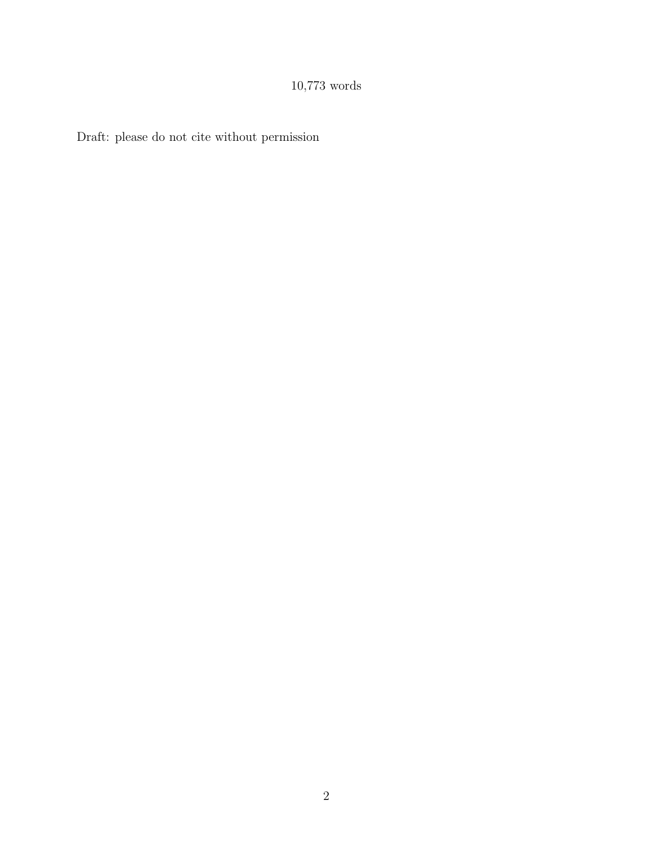# 10,773 words

Draft: please do not cite without permission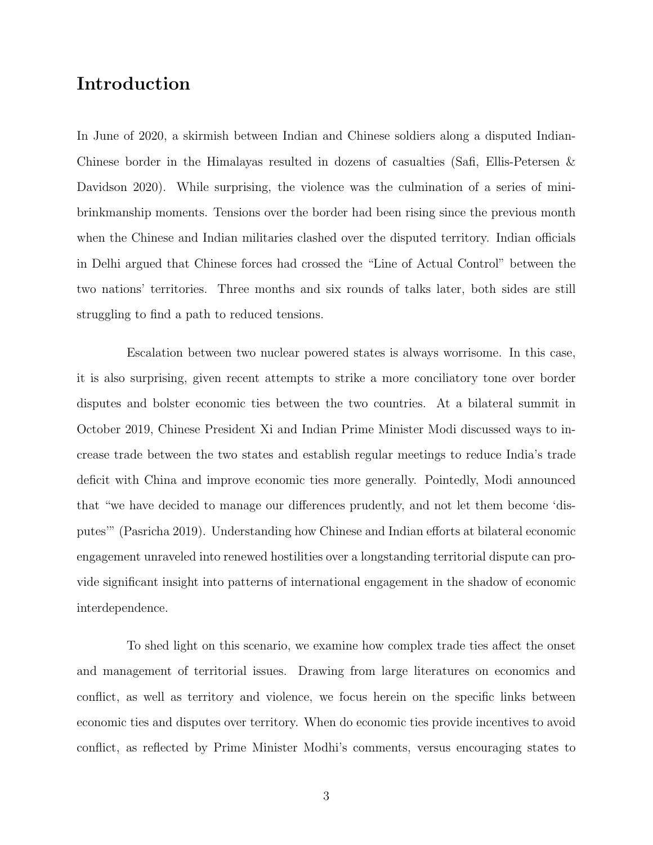# Introduction

In June of 2020, a skirmish between Indian and Chinese soldiers along a disputed Indian-Chinese border in the Himalayas resulted in dozens of casualties (Safi, Ellis-Petersen & Davidson 2020). While surprising, the violence was the culmination of a series of minibrinkmanship moments. Tensions over the border had been rising since the previous month when the Chinese and Indian militaries clashed over the disputed territory. Indian officials in Delhi argued that Chinese forces had crossed the "Line of Actual Control" between the two nations' territories. Three months and six rounds of talks later, both sides are still struggling to find a path to reduced tensions.

Escalation between two nuclear powered states is always worrisome. In this case, it is also surprising, given recent attempts to strike a more conciliatory tone over border disputes and bolster economic ties between the two countries. At a bilateral summit in October 2019, Chinese President Xi and Indian Prime Minister Modi discussed ways to increase trade between the two states and establish regular meetings to reduce India's trade deficit with China and improve economic ties more generally. Pointedly, Modi announced that "we have decided to manage our differences prudently, and not let them become 'disputes'" (Pasricha 2019). Understanding how Chinese and Indian efforts at bilateral economic engagement unraveled into renewed hostilities over a longstanding territorial dispute can provide significant insight into patterns of international engagement in the shadow of economic interdependence.

To shed light on this scenario, we examine how complex trade ties affect the onset and management of territorial issues. Drawing from large literatures on economics and conflict, as well as territory and violence, we focus herein on the specific links between economic ties and disputes over territory. When do economic ties provide incentives to avoid conflict, as reflected by Prime Minister Modhi's comments, versus encouraging states to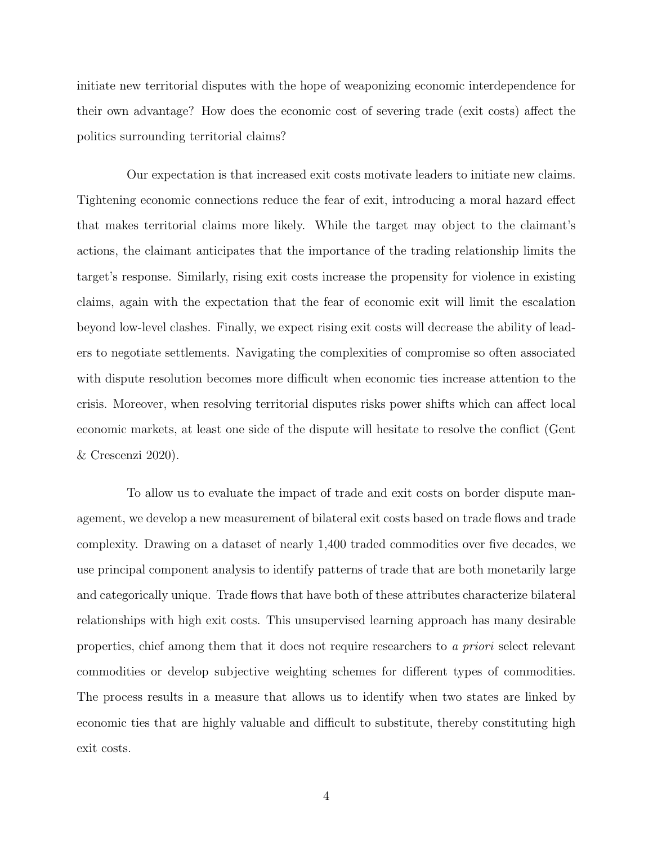initiate new territorial disputes with the hope of weaponizing economic interdependence for their own advantage? How does the economic cost of severing trade (exit costs) affect the politics surrounding territorial claims?

Our expectation is that increased exit costs motivate leaders to initiate new claims. Tightening economic connections reduce the fear of exit, introducing a moral hazard effect that makes territorial claims more likely. While the target may object to the claimant's actions, the claimant anticipates that the importance of the trading relationship limits the target's response. Similarly, rising exit costs increase the propensity for violence in existing claims, again with the expectation that the fear of economic exit will limit the escalation beyond low-level clashes. Finally, we expect rising exit costs will decrease the ability of leaders to negotiate settlements. Navigating the complexities of compromise so often associated with dispute resolution becomes more difficult when economic ties increase attention to the crisis. Moreover, when resolving territorial disputes risks power shifts which can affect local economic markets, at least one side of the dispute will hesitate to resolve the conflict (Gent & Crescenzi 2020).

To allow us to evaluate the impact of trade and exit costs on border dispute management, we develop a new measurement of bilateral exit costs based on trade flows and trade complexity. Drawing on a dataset of nearly 1,400 traded commodities over five decades, we use principal component analysis to identify patterns of trade that are both monetarily large and categorically unique. Trade flows that have both of these attributes characterize bilateral relationships with high exit costs. This unsupervised learning approach has many desirable properties, chief among them that it does not require researchers to a priori select relevant commodities or develop subjective weighting schemes for different types of commodities. The process results in a measure that allows us to identify when two states are linked by economic ties that are highly valuable and difficult to substitute, thereby constituting high exit costs.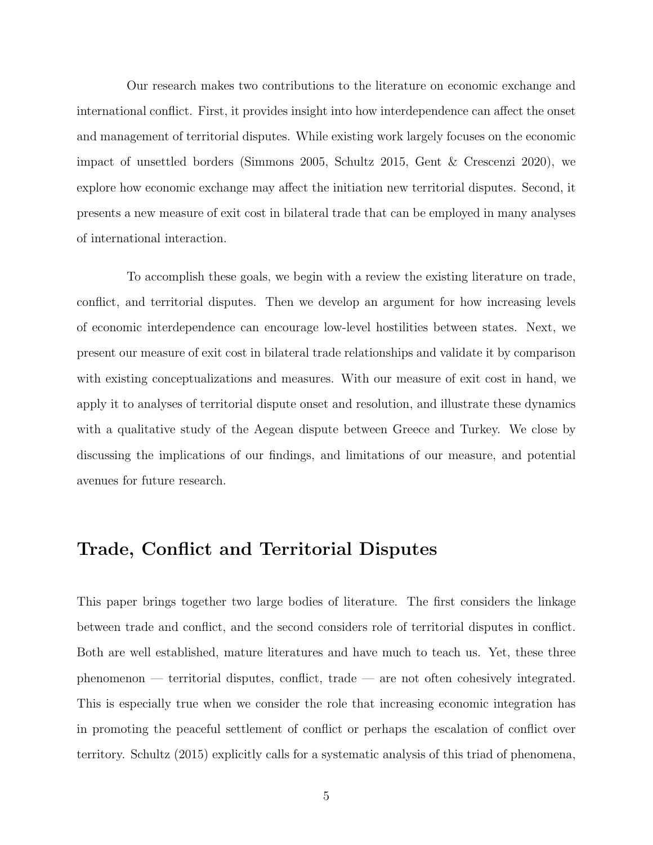Our research makes two contributions to the literature on economic exchange and international conflict. First, it provides insight into how interdependence can affect the onset and management of territorial disputes. While existing work largely focuses on the economic impact of unsettled borders (Simmons 2005, Schultz 2015, Gent & Crescenzi 2020), we explore how economic exchange may affect the initiation new territorial disputes. Second, it presents a new measure of exit cost in bilateral trade that can be employed in many analyses of international interaction.

To accomplish these goals, we begin with a review the existing literature on trade, conflict, and territorial disputes. Then we develop an argument for how increasing levels of economic interdependence can encourage low-level hostilities between states. Next, we present our measure of exit cost in bilateral trade relationships and validate it by comparison with existing conceptualizations and measures. With our measure of exit cost in hand, we apply it to analyses of territorial dispute onset and resolution, and illustrate these dynamics with a qualitative study of the Aegean dispute between Greece and Turkey. We close by discussing the implications of our findings, and limitations of our measure, and potential avenues for future research.

# Trade, Conflict and Territorial Disputes

This paper brings together two large bodies of literature. The first considers the linkage between trade and conflict, and the second considers role of territorial disputes in conflict. Both are well established, mature literatures and have much to teach us. Yet, these three phenomenon — territorial disputes, conflict, trade — are not often cohesively integrated. This is especially true when we consider the role that increasing economic integration has in promoting the peaceful settlement of conflict or perhaps the escalation of conflict over territory. Schultz (2015) explicitly calls for a systematic analysis of this triad of phenomena,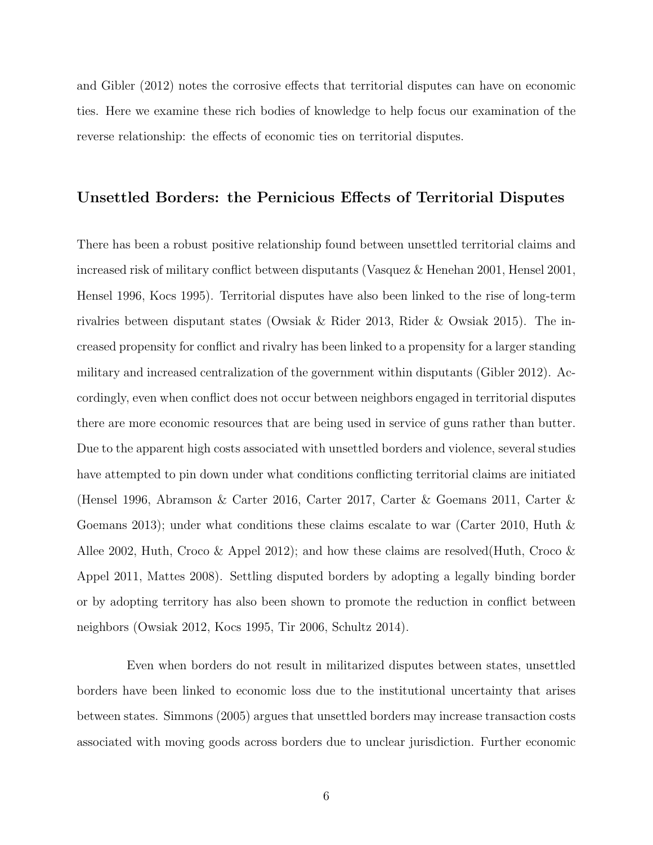and Gibler (2012) notes the corrosive effects that territorial disputes can have on economic ties. Here we examine these rich bodies of knowledge to help focus our examination of the reverse relationship: the effects of economic ties on territorial disputes.

#### Unsettled Borders: the Pernicious Effects of Territorial Disputes

There has been a robust positive relationship found between unsettled territorial claims and increased risk of military conflict between disputants (Vasquez & Henehan 2001, Hensel 2001, Hensel 1996, Kocs 1995). Territorial disputes have also been linked to the rise of long-term rivalries between disputant states (Owsiak & Rider 2013, Rider & Owsiak 2015). The increased propensity for conflict and rivalry has been linked to a propensity for a larger standing military and increased centralization of the government within disputants (Gibler 2012). Accordingly, even when conflict does not occur between neighbors engaged in territorial disputes there are more economic resources that are being used in service of guns rather than butter. Due to the apparent high costs associated with unsettled borders and violence, several studies have attempted to pin down under what conditions conflicting territorial claims are initiated (Hensel 1996, Abramson & Carter 2016, Carter 2017, Carter & Goemans 2011, Carter & Goemans 2013); under what conditions these claims escalate to war (Carter 2010, Huth  $\&$ Allee 2002, Huth, Croco & Appel 2012); and how these claims are resolved(Huth, Croco & Appel 2011, Mattes 2008). Settling disputed borders by adopting a legally binding border or by adopting territory has also been shown to promote the reduction in conflict between neighbors (Owsiak 2012, Kocs 1995, Tir 2006, Schultz 2014).

Even when borders do not result in militarized disputes between states, unsettled borders have been linked to economic loss due to the institutional uncertainty that arises between states. Simmons (2005) argues that unsettled borders may increase transaction costs associated with moving goods across borders due to unclear jurisdiction. Further economic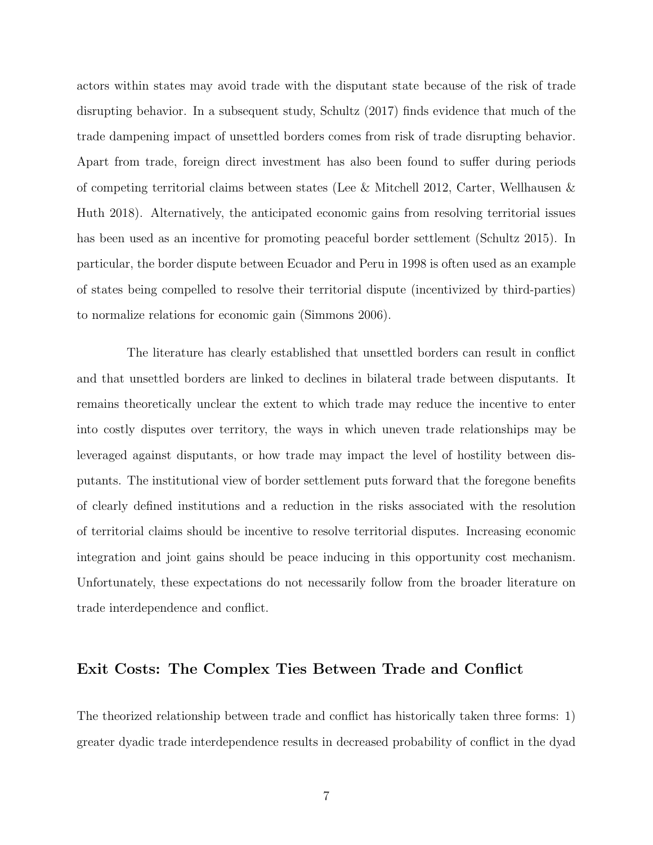actors within states may avoid trade with the disputant state because of the risk of trade disrupting behavior. In a subsequent study, Schultz (2017) finds evidence that much of the trade dampening impact of unsettled borders comes from risk of trade disrupting behavior. Apart from trade, foreign direct investment has also been found to suffer during periods of competing territorial claims between states (Lee & Mitchell 2012, Carter, Wellhausen & Huth 2018). Alternatively, the anticipated economic gains from resolving territorial issues has been used as an incentive for promoting peaceful border settlement (Schultz 2015). In particular, the border dispute between Ecuador and Peru in 1998 is often used as an example of states being compelled to resolve their territorial dispute (incentivized by third-parties) to normalize relations for economic gain (Simmons 2006).

The literature has clearly established that unsettled borders can result in conflict and that unsettled borders are linked to declines in bilateral trade between disputants. It remains theoretically unclear the extent to which trade may reduce the incentive to enter into costly disputes over territory, the ways in which uneven trade relationships may be leveraged against disputants, or how trade may impact the level of hostility between disputants. The institutional view of border settlement puts forward that the foregone benefits of clearly defined institutions and a reduction in the risks associated with the resolution of territorial claims should be incentive to resolve territorial disputes. Increasing economic integration and joint gains should be peace inducing in this opportunity cost mechanism. Unfortunately, these expectations do not necessarily follow from the broader literature on trade interdependence and conflict.

#### Exit Costs: The Complex Ties Between Trade and Conflict

The theorized relationship between trade and conflict has historically taken three forms: 1) greater dyadic trade interdependence results in decreased probability of conflict in the dyad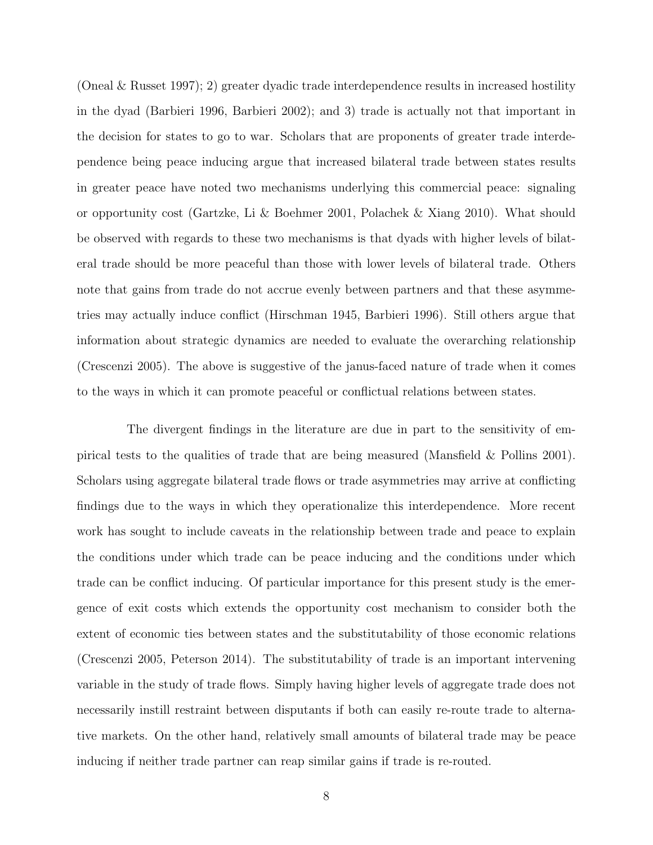(Oneal & Russet 1997); 2) greater dyadic trade interdependence results in increased hostility in the dyad (Barbieri 1996, Barbieri 2002); and 3) trade is actually not that important in the decision for states to go to war. Scholars that are proponents of greater trade interdependence being peace inducing argue that increased bilateral trade between states results in greater peace have noted two mechanisms underlying this commercial peace: signaling or opportunity cost (Gartzke, Li & Boehmer 2001, Polachek & Xiang 2010). What should be observed with regards to these two mechanisms is that dyads with higher levels of bilateral trade should be more peaceful than those with lower levels of bilateral trade. Others note that gains from trade do not accrue evenly between partners and that these asymmetries may actually induce conflict (Hirschman 1945, Barbieri 1996). Still others argue that information about strategic dynamics are needed to evaluate the overarching relationship (Crescenzi 2005). The above is suggestive of the janus-faced nature of trade when it comes to the ways in which it can promote peaceful or conflictual relations between states.

The divergent findings in the literature are due in part to the sensitivity of empirical tests to the qualities of trade that are being measured (Mansfield & Pollins 2001). Scholars using aggregate bilateral trade flows or trade asymmetries may arrive at conflicting findings due to the ways in which they operationalize this interdependence. More recent work has sought to include caveats in the relationship between trade and peace to explain the conditions under which trade can be peace inducing and the conditions under which trade can be conflict inducing. Of particular importance for this present study is the emergence of exit costs which extends the opportunity cost mechanism to consider both the extent of economic ties between states and the substitutability of those economic relations (Crescenzi 2005, Peterson 2014). The substitutability of trade is an important intervening variable in the study of trade flows. Simply having higher levels of aggregate trade does not necessarily instill restraint between disputants if both can easily re-route trade to alternative markets. On the other hand, relatively small amounts of bilateral trade may be peace inducing if neither trade partner can reap similar gains if trade is re-routed.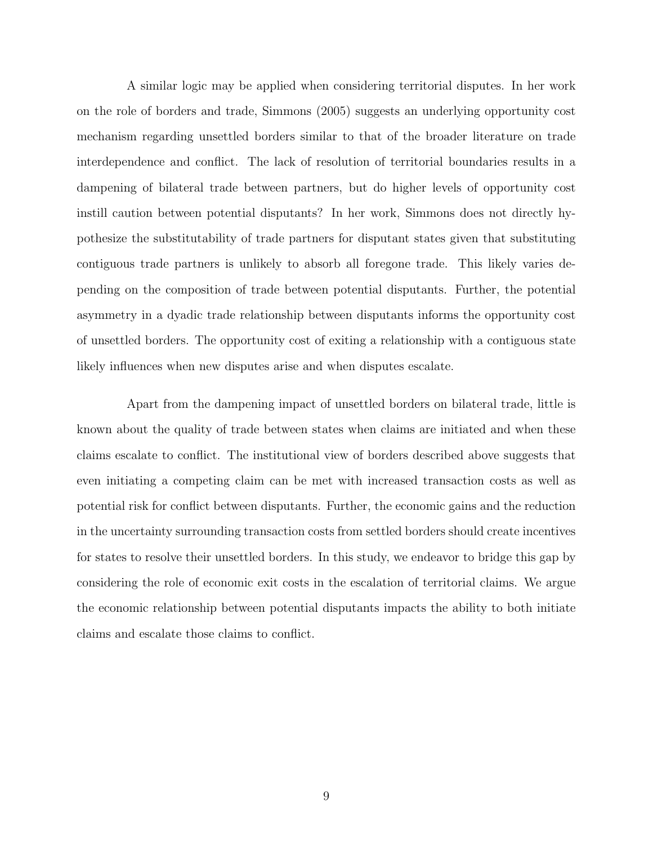A similar logic may be applied when considering territorial disputes. In her work on the role of borders and trade, Simmons (2005) suggests an underlying opportunity cost mechanism regarding unsettled borders similar to that of the broader literature on trade interdependence and conflict. The lack of resolution of territorial boundaries results in a dampening of bilateral trade between partners, but do higher levels of opportunity cost instill caution between potential disputants? In her work, Simmons does not directly hypothesize the substitutability of trade partners for disputant states given that substituting contiguous trade partners is unlikely to absorb all foregone trade. This likely varies depending on the composition of trade between potential disputants. Further, the potential asymmetry in a dyadic trade relationship between disputants informs the opportunity cost of unsettled borders. The opportunity cost of exiting a relationship with a contiguous state likely influences when new disputes arise and when disputes escalate.

Apart from the dampening impact of unsettled borders on bilateral trade, little is known about the quality of trade between states when claims are initiated and when these claims escalate to conflict. The institutional view of borders described above suggests that even initiating a competing claim can be met with increased transaction costs as well as potential risk for conflict between disputants. Further, the economic gains and the reduction in the uncertainty surrounding transaction costs from settled borders should create incentives for states to resolve their unsettled borders. In this study, we endeavor to bridge this gap by considering the role of economic exit costs in the escalation of territorial claims. We argue the economic relationship between potential disputants impacts the ability to both initiate claims and escalate those claims to conflict.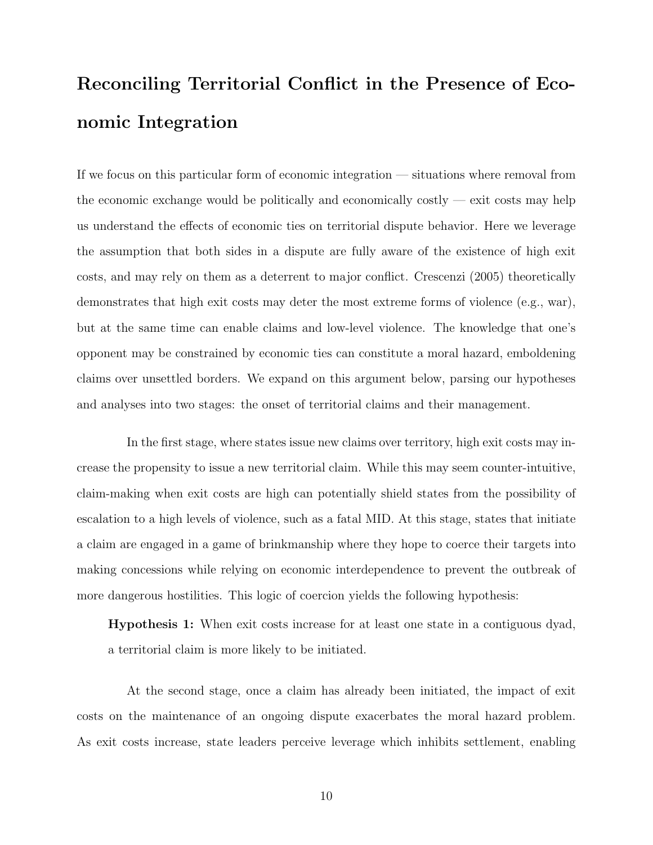# Reconciling Territorial Conflict in the Presence of Economic Integration

If we focus on this particular form of economic integration — situations where removal from the economic exchange would be politically and economically costly  $-$  exit costs may help us understand the effects of economic ties on territorial dispute behavior. Here we leverage the assumption that both sides in a dispute are fully aware of the existence of high exit costs, and may rely on them as a deterrent to major conflict. Crescenzi (2005) theoretically demonstrates that high exit costs may deter the most extreme forms of violence (e.g., war), but at the same time can enable claims and low-level violence. The knowledge that one's opponent may be constrained by economic ties can constitute a moral hazard, emboldening claims over unsettled borders. We expand on this argument below, parsing our hypotheses and analyses into two stages: the onset of territorial claims and their management.

In the first stage, where states issue new claims over territory, high exit costs may increase the propensity to issue a new territorial claim. While this may seem counter-intuitive, claim-making when exit costs are high can potentially shield states from the possibility of escalation to a high levels of violence, such as a fatal MID. At this stage, states that initiate a claim are engaged in a game of brinkmanship where they hope to coerce their targets into making concessions while relying on economic interdependence to prevent the outbreak of more dangerous hostilities. This logic of coercion yields the following hypothesis:

Hypothesis 1: When exit costs increase for at least one state in a contiguous dyad, a territorial claim is more likely to be initiated.

At the second stage, once a claim has already been initiated, the impact of exit costs on the maintenance of an ongoing dispute exacerbates the moral hazard problem. As exit costs increase, state leaders perceive leverage which inhibits settlement, enabling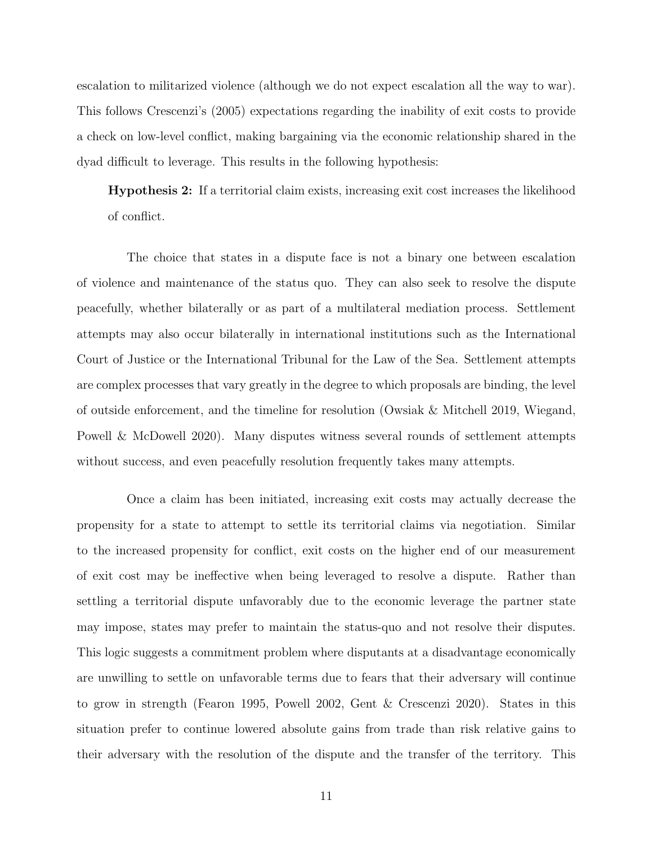escalation to militarized violence (although we do not expect escalation all the way to war). This follows Crescenzi's (2005) expectations regarding the inability of exit costs to provide a check on low-level conflict, making bargaining via the economic relationship shared in the dyad difficult to leverage. This results in the following hypothesis:

Hypothesis 2: If a territorial claim exists, increasing exit cost increases the likelihood of conflict.

The choice that states in a dispute face is not a binary one between escalation of violence and maintenance of the status quo. They can also seek to resolve the dispute peacefully, whether bilaterally or as part of a multilateral mediation process. Settlement attempts may also occur bilaterally in international institutions such as the International Court of Justice or the International Tribunal for the Law of the Sea. Settlement attempts are complex processes that vary greatly in the degree to which proposals are binding, the level of outside enforcement, and the timeline for resolution (Owsiak & Mitchell 2019, Wiegand, Powell & McDowell 2020). Many disputes witness several rounds of settlement attempts without success, and even peacefully resolution frequently takes many attempts.

Once a claim has been initiated, increasing exit costs may actually decrease the propensity for a state to attempt to settle its territorial claims via negotiation. Similar to the increased propensity for conflict, exit costs on the higher end of our measurement of exit cost may be ineffective when being leveraged to resolve a dispute. Rather than settling a territorial dispute unfavorably due to the economic leverage the partner state may impose, states may prefer to maintain the status-quo and not resolve their disputes. This logic suggests a commitment problem where disputants at a disadvantage economically are unwilling to settle on unfavorable terms due to fears that their adversary will continue to grow in strength (Fearon 1995, Powell 2002, Gent & Crescenzi 2020). States in this situation prefer to continue lowered absolute gains from trade than risk relative gains to their adversary with the resolution of the dispute and the transfer of the territory. This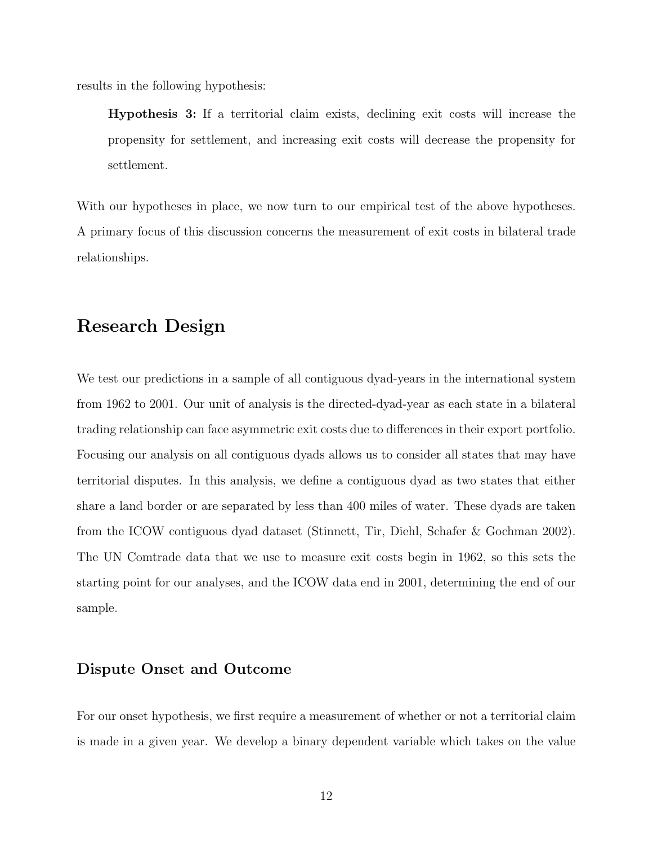results in the following hypothesis:

Hypothesis 3: If a territorial claim exists, declining exit costs will increase the propensity for settlement, and increasing exit costs will decrease the propensity for settlement.

With our hypotheses in place, we now turn to our empirical test of the above hypotheses. A primary focus of this discussion concerns the measurement of exit costs in bilateral trade relationships.

# Research Design

We test our predictions in a sample of all contiguous dyad-years in the international system from 1962 to 2001. Our unit of analysis is the directed-dyad-year as each state in a bilateral trading relationship can face asymmetric exit costs due to differences in their export portfolio. Focusing our analysis on all contiguous dyads allows us to consider all states that may have territorial disputes. In this analysis, we define a contiguous dyad as two states that either share a land border or are separated by less than 400 miles of water. These dyads are taken from the ICOW contiguous dyad dataset (Stinnett, Tir, Diehl, Schafer & Gochman 2002). The UN Comtrade data that we use to measure exit costs begin in 1962, so this sets the starting point for our analyses, and the ICOW data end in 2001, determining the end of our sample.

#### Dispute Onset and Outcome

For our onset hypothesis, we first require a measurement of whether or not a territorial claim is made in a given year. We develop a binary dependent variable which takes on the value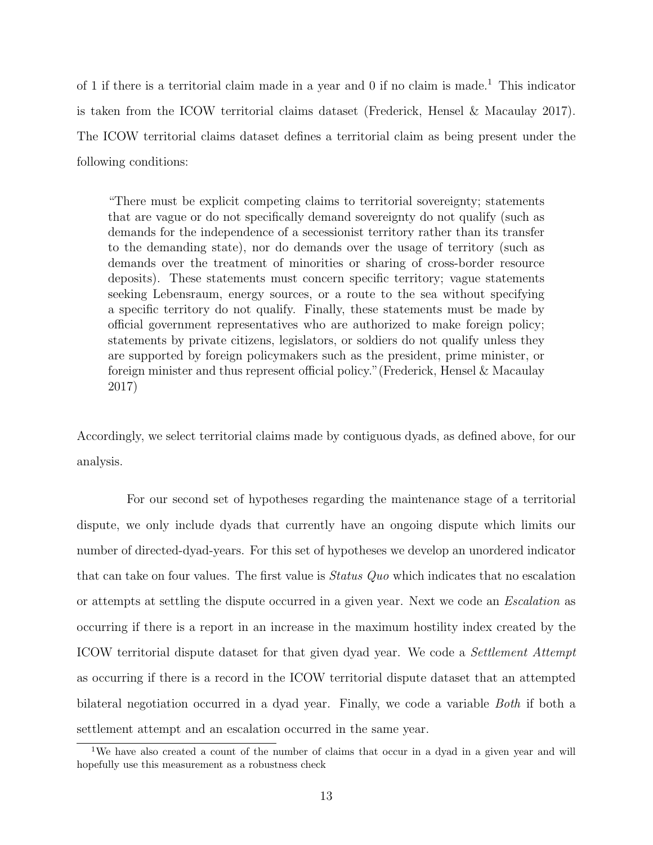of [1](#page-12-0) if there is a territorial claim made in a year and 0 if no claim is made.<sup>1</sup> This indicator is taken from the ICOW territorial claims dataset (Frederick, Hensel & Macaulay 2017). The ICOW territorial claims dataset defines a territorial claim as being present under the following conditions:

"There must be explicit competing claims to territorial sovereignty; statements that are vague or do not specifically demand sovereignty do not qualify (such as demands for the independence of a secessionist territory rather than its transfer to the demanding state), nor do demands over the usage of territory (such as demands over the treatment of minorities or sharing of cross-border resource deposits). These statements must concern specific territory; vague statements seeking Lebensraum, energy sources, or a route to the sea without specifying a specific territory do not qualify. Finally, these statements must be made by official government representatives who are authorized to make foreign policy; statements by private citizens, legislators, or soldiers do not qualify unless they are supported by foreign policymakers such as the president, prime minister, or foreign minister and thus represent official policy."(Frederick, Hensel & Macaulay 2017)

Accordingly, we select territorial claims made by contiguous dyads, as defined above, for our analysis.

For our second set of hypotheses regarding the maintenance stage of a territorial dispute, we only include dyads that currently have an ongoing dispute which limits our number of directed-dyad-years. For this set of hypotheses we develop an unordered indicator that can take on four values. The first value is Status Quo which indicates that no escalation or attempts at settling the dispute occurred in a given year. Next we code an Escalation as occurring if there is a report in an increase in the maximum hostility index created by the ICOW territorial dispute dataset for that given dyad year. We code a Settlement Attempt as occurring if there is a record in the ICOW territorial dispute dataset that an attempted bilateral negotiation occurred in a dyad year. Finally, we code a variable Both if both a settlement attempt and an escalation occurred in the same year.

<span id="page-12-0"></span><sup>&</sup>lt;sup>1</sup>We have also created a count of the number of claims that occur in a dyad in a given year and will hopefully use this measurement as a robustness check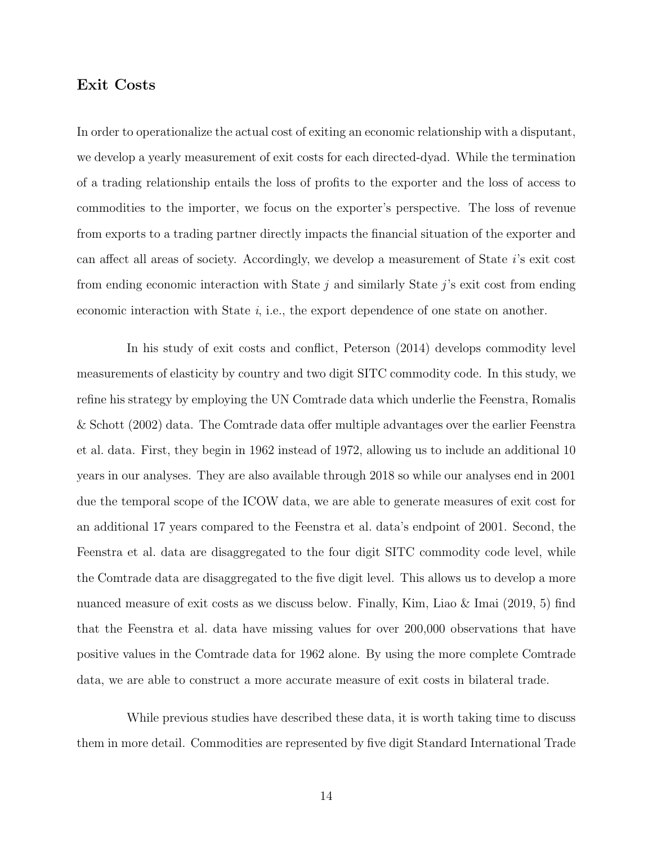#### Exit Costs

In order to operationalize the actual cost of exiting an economic relationship with a disputant, we develop a yearly measurement of exit costs for each directed-dyad. While the termination of a trading relationship entails the loss of profits to the exporter and the loss of access to commodities to the importer, we focus on the exporter's perspective. The loss of revenue from exports to a trading partner directly impacts the financial situation of the exporter and can affect all areas of society. Accordingly, we develop a measurement of State i's exit cost from ending economic interaction with State  $j$  and similarly State  $j$ 's exit cost from ending economic interaction with State  $i$ , i.e., the export dependence of one state on another.

In his study of exit costs and conflict, Peterson (2014) develops commodity level measurements of elasticity by country and two digit SITC commodity code. In this study, we refine his strategy by employing the UN Comtrade data which underlie the Feenstra, Romalis & Schott (2002) data. The Comtrade data offer multiple advantages over the earlier Feenstra et al. data. First, they begin in 1962 instead of 1972, allowing us to include an additional 10 years in our analyses. They are also available through 2018 so while our analyses end in 2001 due the temporal scope of the ICOW data, we are able to generate measures of exit cost for an additional 17 years compared to the Feenstra et al. data's endpoint of 2001. Second, the Feenstra et al. data are disaggregated to the four digit SITC commodity code level, while the Comtrade data are disaggregated to the five digit level. This allows us to develop a more nuanced measure of exit costs as we discuss below. Finally, Kim, Liao & Imai (2019, 5) find that the Feenstra et al. data have missing values for over 200,000 observations that have positive values in the Comtrade data for 1962 alone. By using the more complete Comtrade data, we are able to construct a more accurate measure of exit costs in bilateral trade.

While previous studies have described these data, it is worth taking time to discuss them in more detail. Commodities are represented by five digit Standard International Trade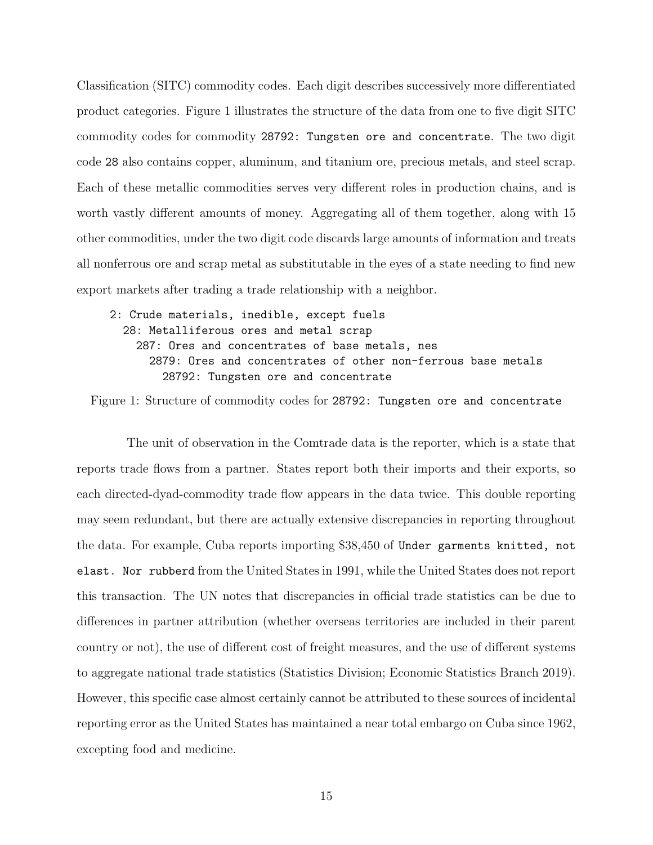Classification (SITC) commodity codes. Each digit describes successively more differentiated product categories. Figure [1](#page-14-0) illustrates the structure of the data from one to five digit SITC commodity codes for commodity 28792: Tungsten ore and concentrate. The two digit code 28 also contains copper, aluminum, and titanium ore, precious metals, and steel scrap. Each of these metallic commodities serves very different roles in production chains, and is worth vastly different amounts of money. Aggregating all of them together, along with 15 other commodities, under the two digit code discards large amounts of information and treats all nonferrous ore and scrap metal as substitutable in the eyes of a state needing to find new export markets after trading a trade relationship with a neighbor.

#### <span id="page-14-0"></span>2: Crude materials, inedible, except fuels 28: Metalliferous ores and metal scrap 287: Ores and concentrates of base metals, nes 2879: Ores and concentrates of other non-ferrous base metals 28792: Tungsten ore and concentrate

Figure 1: Structure of commodity codes for 28792: Tungsten ore and concentrate

The unit of observation in the Comtrade data is the reporter, which is a state that reports trade flows from a partner. States report both their imports and their exports, so each directed-dyad-commodity trade flow appears in the data twice. This double reporting may seem redundant, but there are actually extensive discrepancies in reporting throughout the data. For example, Cuba reports importing \$38,450 of Under garments knitted, not elast. Nor rubberd from the United States in 1991, while the United States does not report this transaction. The UN notes that discrepancies in official trade statistics can be due to differences in partner attribution (whether overseas territories are included in their parent country or not), the use of different cost of freight measures, and the use of different systems to aggregate national trade statistics (Statistics Division; Economic Statistics Branch 2019). However, this specific case almost certainly cannot be attributed to these sources of incidental reporting error as the United States has maintained a near total embargo on Cuba since 1962, excepting food and medicine.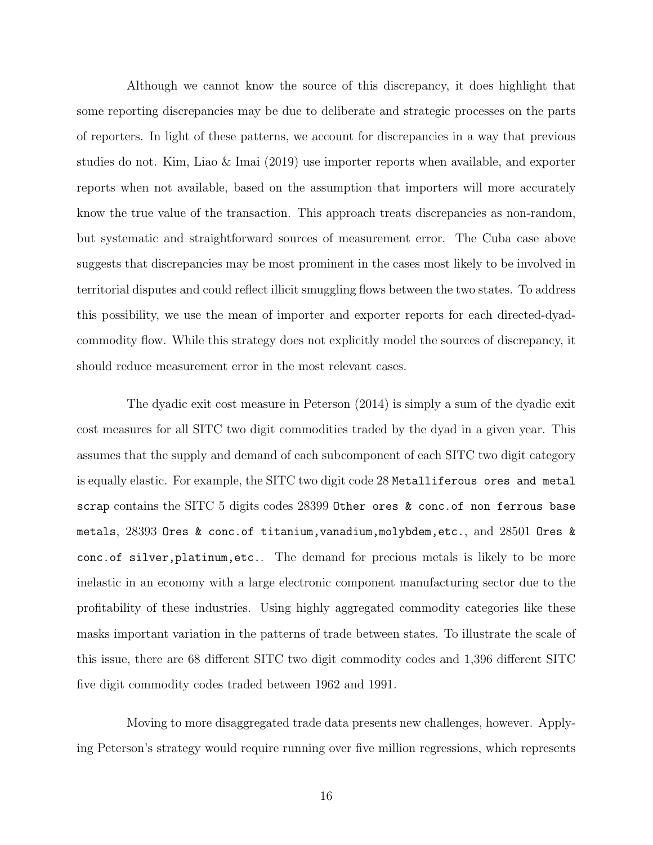Although we cannot know the source of this discrepancy, it does highlight that some reporting discrepancies may be due to deliberate and strategic processes on the parts of reporters. In light of these patterns, we account for discrepancies in a way that previous studies do not. Kim, Liao & Imai (2019) use importer reports when available, and exporter reports when not available, based on the assumption that importers will more accurately know the true value of the transaction. This approach treats discrepancies as non-random, but systematic and straightforward sources of measurement error. The Cuba case above suggests that discrepancies may be most prominent in the cases most likely to be involved in territorial disputes and could reflect illicit smuggling flows between the two states. To address this possibility, we use the mean of importer and exporter reports for each directed-dyadcommodity flow. While this strategy does not explicitly model the sources of discrepancy, it should reduce measurement error in the most relevant cases.

The dyadic exit cost measure in Peterson (2014) is simply a sum of the dyadic exit cost measures for all SITC two digit commodities traded by the dyad in a given year. This assumes that the supply and demand of each subcomponent of each SITC two digit category is equally elastic. For example, the SITC two digit code 28 Metalliferous ores and metal scrap contains the SITC 5 digits codes 28399 Other ores & conc.of non ferrous base metals, 28393 Ores & conc.of titanium,vanadium,molybdem,etc., and 28501 Ores & conc.of silver,platinum,etc.. The demand for precious metals is likely to be more inelastic in an economy with a large electronic component manufacturing sector due to the profitability of these industries. Using highly aggregated commodity categories like these masks important variation in the patterns of trade between states. To illustrate the scale of this issue, there are 68 different SITC two digit commodity codes and 1,396 different SITC five digit commodity codes traded between 1962 and 1991.

Moving to more disaggregated trade data presents new challenges, however. Applying Peterson's strategy would require running over five million regressions, which represents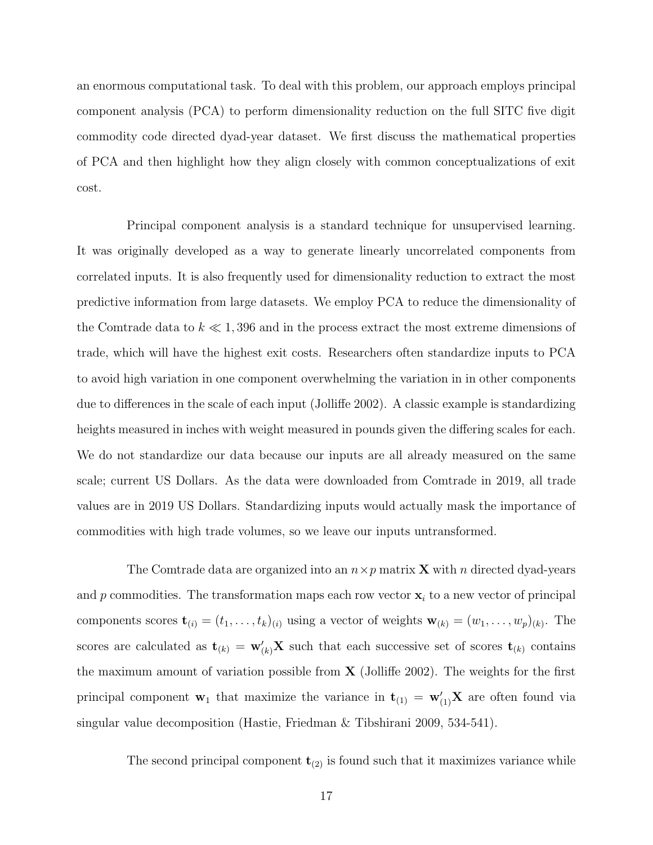an enormous computational task. To deal with this problem, our approach employs principal component analysis (PCA) to perform dimensionality reduction on the full SITC five digit commodity code directed dyad-year dataset. We first discuss the mathematical properties of PCA and then highlight how they align closely with common conceptualizations of exit cost.

Principal component analysis is a standard technique for unsupervised learning. It was originally developed as a way to generate linearly uncorrelated components from correlated inputs. It is also frequently used for dimensionality reduction to extract the most predictive information from large datasets. We employ PCA to reduce the dimensionality of the Comtrade data to  $k \ll 1,396$  and in the process extract the most extreme dimensions of trade, which will have the highest exit costs. Researchers often standardize inputs to PCA to avoid high variation in one component overwhelming the variation in in other components due to differences in the scale of each input (Jolliffe 2002). A classic example is standardizing heights measured in inches with weight measured in pounds given the differing scales for each. We do not standardize our data because our inputs are all already measured on the same scale; current US Dollars. As the data were downloaded from Comtrade in 2019, all trade values are in 2019 US Dollars. Standardizing inputs would actually mask the importance of commodities with high trade volumes, so we leave our inputs untransformed.

The Comtrade data are organized into an  $n \times p$  matrix **X** with n directed dyad-years and p commodities. The transformation maps each row vector  $x_i$  to a new vector of principal components scores  $\mathbf{t}_{(i)} = (t_1, \ldots, t_k)_{(i)}$  using a vector of weights  $\mathbf{w}_{(k)} = (w_1, \ldots, w_p)_{(k)}$ . The scores are calculated as  $\mathbf{t}_{(k)} = \mathbf{w}'_{(k)}\mathbf{X}$  such that each successive set of scores  $\mathbf{t}_{(k)}$  contains the maximum amount of variation possible from  $\bf{X}$  (Jolliffe 2002). The weights for the first principal component  $\mathbf{w}_1$  that maximize the variance in  $\mathbf{t}_{(1)} = \mathbf{w}'_{(1)}\mathbf{X}$  are often found via singular value decomposition (Hastie, Friedman & Tibshirani 2009, 534-541).

The second principal component  $t_{(2)}$  is found such that it maximizes variance while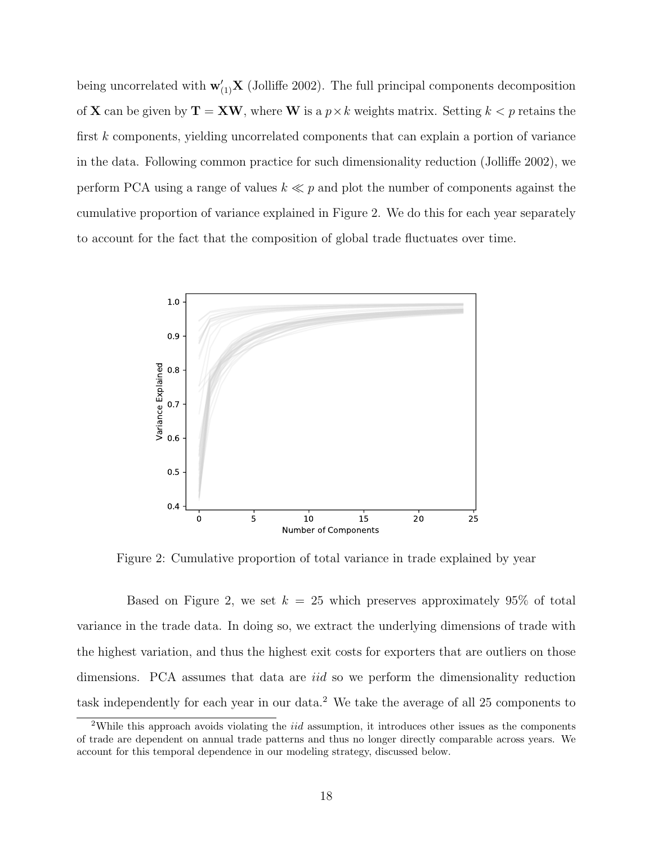being uncorrelated with  $\mathbf{w}'_{(1)}\mathbf{X}$  (Jolliffe 2002). The full principal components decomposition of **X** can be given by  $T = XW$ , where W is a  $p \times k$  weights matrix. Setting  $k < p$  retains the first k components, yielding uncorrelated components that can explain a portion of variance in the data. Following common practice for such dimensionality reduction (Jolliffe 2002), we perform PCA using a range of values  $k \ll p$  and plot the number of components against the cumulative proportion of variance explained in Figure [2.](#page-17-0) We do this for each year separately to account for the fact that the composition of global trade fluctuates over time.

<span id="page-17-0"></span>

Figure 2: Cumulative proportion of total variance in trade explained by year

Based on Figure [2,](#page-17-0) we set  $k = 25$  which preserves approximately 95% of total variance in the trade data. In doing so, we extract the underlying dimensions of trade with the highest variation, and thus the highest exit costs for exporters that are outliers on those dimensions. PCA assumes that data are *iid* so we perform the dimensionality reduction task independently for each year in our data.[2](#page-17-1) We take the average of all 25 components to

<span id="page-17-1"></span><sup>&</sup>lt;sup>2</sup>While this approach avoids violating the *iid* assumption, it introduces other issues as the components of trade are dependent on annual trade patterns and thus no longer directly comparable across years. We account for this temporal dependence in our modeling strategy, discussed below.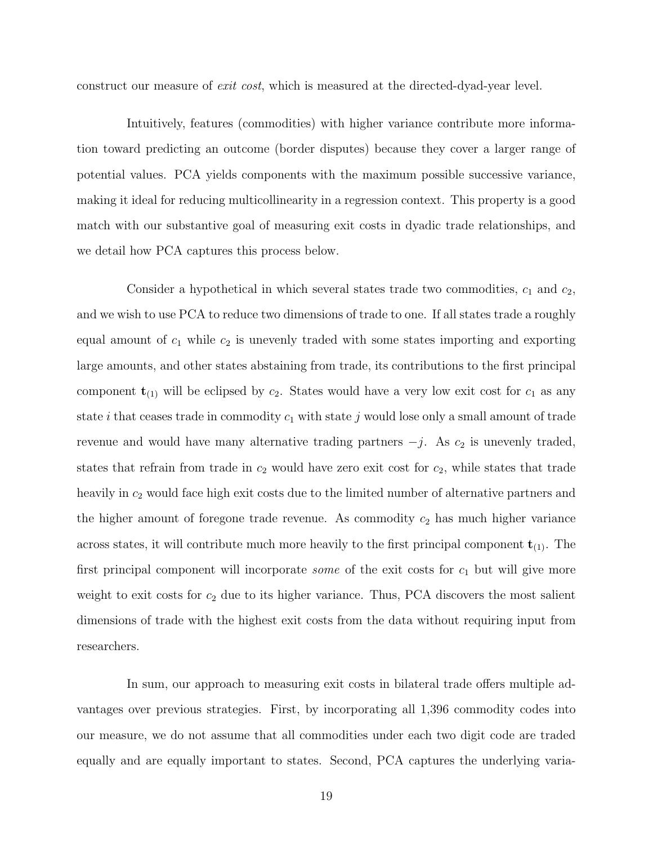construct our measure of exit cost, which is measured at the directed-dyad-year level.

Intuitively, features (commodities) with higher variance contribute more information toward predicting an outcome (border disputes) because they cover a larger range of potential values. PCA yields components with the maximum possible successive variance, making it ideal for reducing multicollinearity in a regression context. This property is a good match with our substantive goal of measuring exit costs in dyadic trade relationships, and we detail how PCA captures this process below.

Consider a hypothetical in which several states trade two commodities,  $c_1$  and  $c_2$ , and we wish to use PCA to reduce two dimensions of trade to one. If all states trade a roughly equal amount of  $c_1$  while  $c_2$  is unevenly traded with some states importing and exporting large amounts, and other states abstaining from trade, its contributions to the first principal component  $t_{(1)}$  will be eclipsed by  $c_2$ . States would have a very low exit cost for  $c_1$  as any state *i* that ceases trade in commodity  $c_1$  with state j would lose only a small amount of trade revenue and would have many alternative trading partners  $-j$ . As  $c_2$  is unevenly traded, states that refrain from trade in  $c_2$  would have zero exit cost for  $c_2$ , while states that trade heavily in  $c_2$  would face high exit costs due to the limited number of alternative partners and the higher amount of foregone trade revenue. As commodity  $c_2$  has much higher variance across states, it will contribute much more heavily to the first principal component  $t_{(1)}$ . The first principal component will incorporate *some* of the exit costs for  $c_1$  but will give more weight to exit costs for  $c_2$  due to its higher variance. Thus, PCA discovers the most salient dimensions of trade with the highest exit costs from the data without requiring input from researchers.

In sum, our approach to measuring exit costs in bilateral trade offers multiple advantages over previous strategies. First, by incorporating all 1,396 commodity codes into our measure, we do not assume that all commodities under each two digit code are traded equally and are equally important to states. Second, PCA captures the underlying varia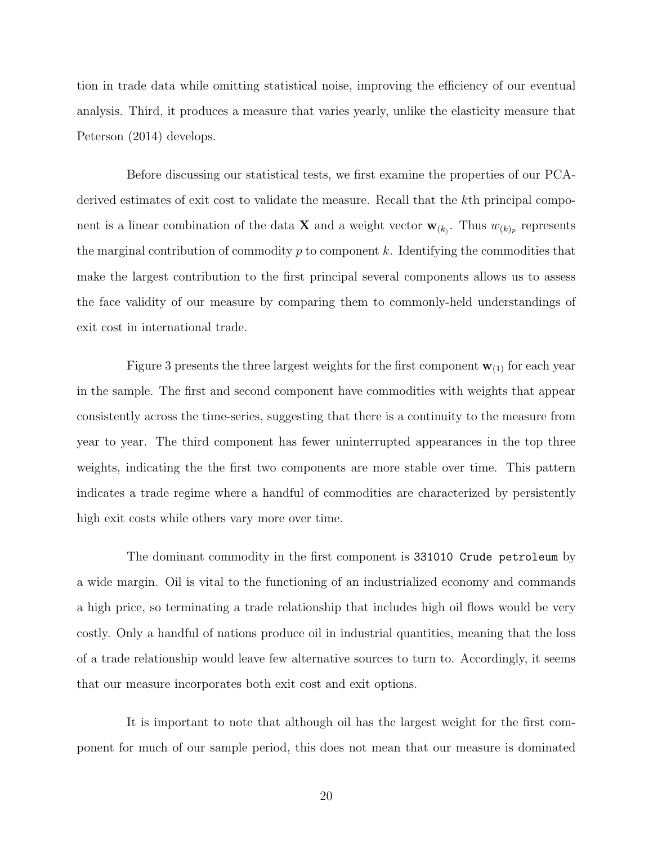tion in trade data while omitting statistical noise, improving the efficiency of our eventual analysis. Third, it produces a measure that varies yearly, unlike the elasticity measure that Peterson (2014) develops.

Before discussing our statistical tests, we first examine the properties of our PCAderived estimates of exit cost to validate the measure. Recall that the kth principal component is a linear combination of the data **X** and a weight vector  $\mathbf{w}_{(k)}$ . Thus  $w_{(k)p}$  represents the marginal contribution of commodity  $p$  to component  $k$ . Identifying the commodities that make the largest contribution to the first principal several components allows us to assess the face validity of our measure by comparing them to commonly-held understandings of exit cost in international trade.

Figure [3](#page-20-0) presents the three largest weights for the first component  $\mathbf{w}_{(1)}$  for each year in the sample. The first and second component have commodities with weights that appear consistently across the time-series, suggesting that there is a continuity to the measure from year to year. The third component has fewer uninterrupted appearances in the top three weights, indicating the the first two components are more stable over time. This pattern indicates a trade regime where a handful of commodities are characterized by persistently high exit costs while others vary more over time.

The dominant commodity in the first component is 331010 Crude petroleum by a wide margin. Oil is vital to the functioning of an industrialized economy and commands a high price, so terminating a trade relationship that includes high oil flows would be very costly. Only a handful of nations produce oil in industrial quantities, meaning that the loss of a trade relationship would leave few alternative sources to turn to. Accordingly, it seems that our measure incorporates both exit cost and exit options.

It is important to note that although oil has the largest weight for the first component for much of our sample period, this does not mean that our measure is dominated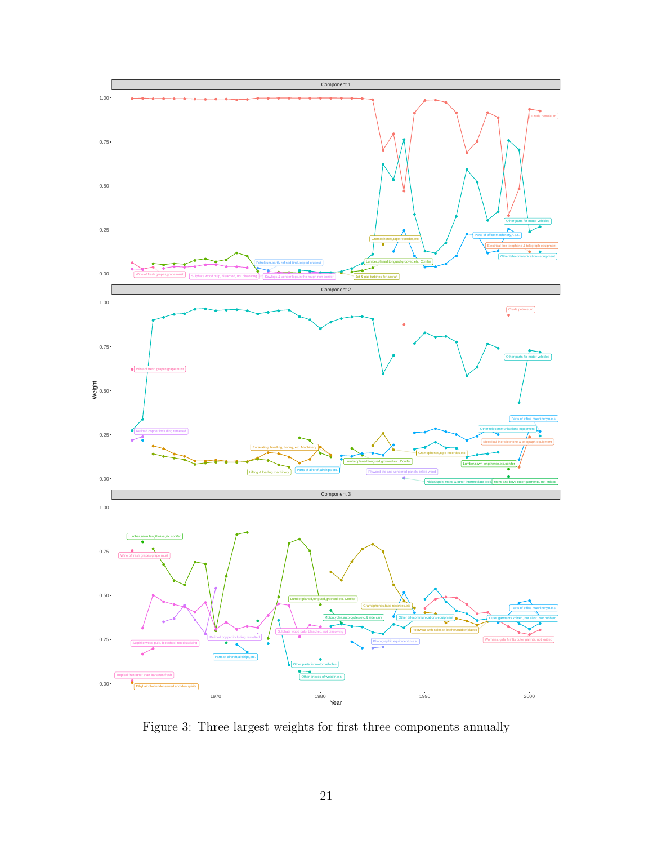<span id="page-20-0"></span>

Figure 3: Three largest weights for first three components annually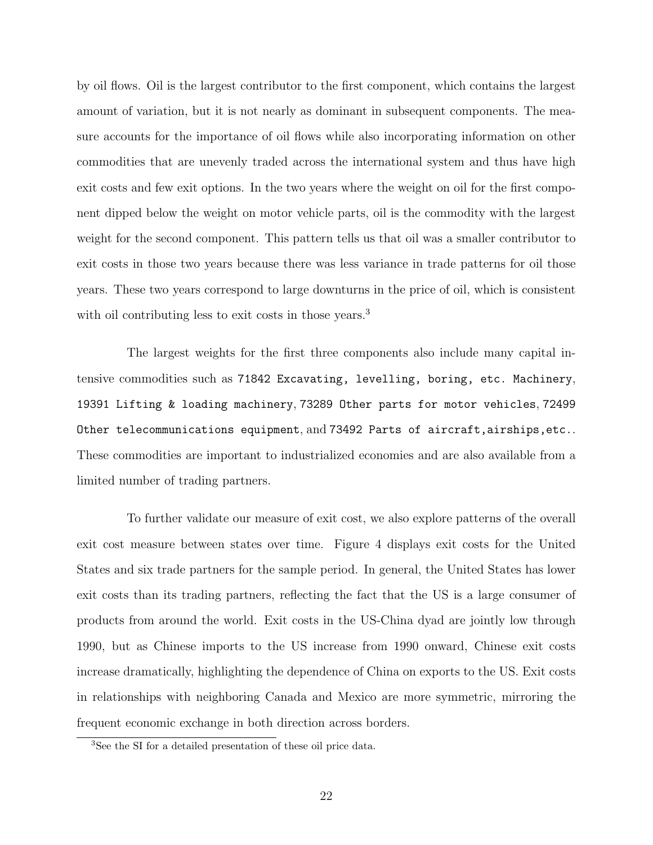by oil flows. Oil is the largest contributor to the first component, which contains the largest amount of variation, but it is not nearly as dominant in subsequent components. The measure accounts for the importance of oil flows while also incorporating information on other commodities that are unevenly traded across the international system and thus have high exit costs and few exit options. In the two years where the weight on oil for the first component dipped below the weight on motor vehicle parts, oil is the commodity with the largest weight for the second component. This pattern tells us that oil was a smaller contributor to exit costs in those two years because there was less variance in trade patterns for oil those years. These two years correspond to large downturns in the price of oil, which is consistent with oil contributing less to exit costs in those years.<sup>[3](#page-21-0)</sup>

The largest weights for the first three components also include many capital intensive commodities such as 71842 Excavating, levelling, boring, etc. Machinery, 19391 Lifting & loading machinery, 73289 Other parts for motor vehicles, 72499 Other telecommunications equipment, and 73492 Parts of aircraft,airships,etc.. These commodities are important to industrialized economies and are also available from a limited number of trading partners.

To further validate our measure of exit cost, we also explore patterns of the overall exit cost measure between states over time. Figure [4](#page-22-0) displays exit costs for the United States and six trade partners for the sample period. In general, the United States has lower exit costs than its trading partners, reflecting the fact that the US is a large consumer of products from around the world. Exit costs in the US-China dyad are jointly low through 1990, but as Chinese imports to the US increase from 1990 onward, Chinese exit costs increase dramatically, highlighting the dependence of China on exports to the US. Exit costs in relationships with neighboring Canada and Mexico are more symmetric, mirroring the frequent economic exchange in both direction across borders.

<span id="page-21-0"></span><sup>3</sup>See the SI for a detailed presentation of these oil price data.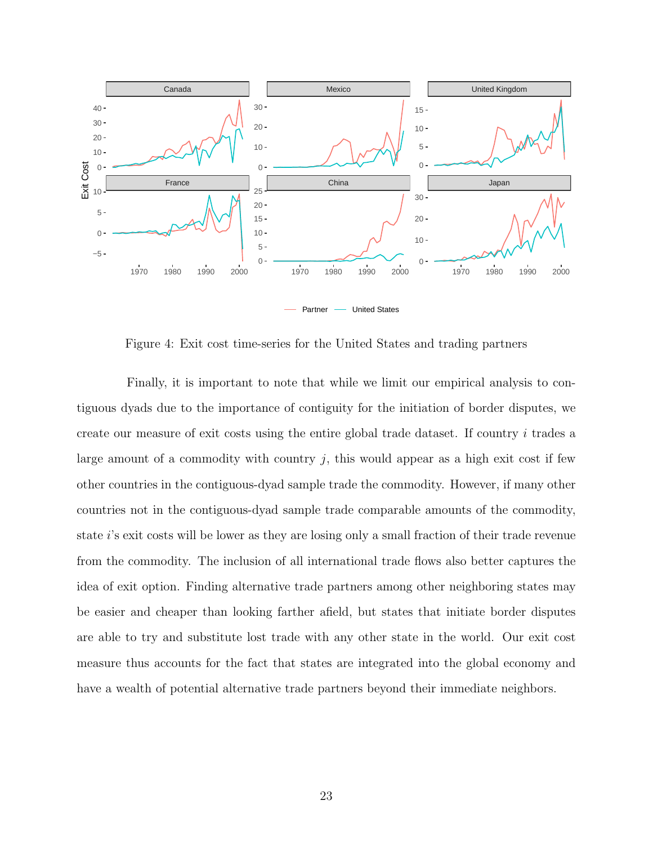<span id="page-22-0"></span>

Figure 4: Exit cost time-series for the United States and trading partners

Finally, it is important to note that while we limit our empirical analysis to contiguous dyads due to the importance of contiguity for the initiation of border disputes, we create our measure of exit costs using the entire global trade dataset. If country i trades a large amount of a commodity with country  $j$ , this would appear as a high exit cost if few other countries in the contiguous-dyad sample trade the commodity. However, if many other countries not in the contiguous-dyad sample trade comparable amounts of the commodity, state i's exit costs will be lower as they are losing only a small fraction of their trade revenue from the commodity. The inclusion of all international trade flows also better captures the idea of exit option. Finding alternative trade partners among other neighboring states may be easier and cheaper than looking farther afield, but states that initiate border disputes are able to try and substitute lost trade with any other state in the world. Our exit cost measure thus accounts for the fact that states are integrated into the global economy and have a wealth of potential alternative trade partners beyond their immediate neighbors.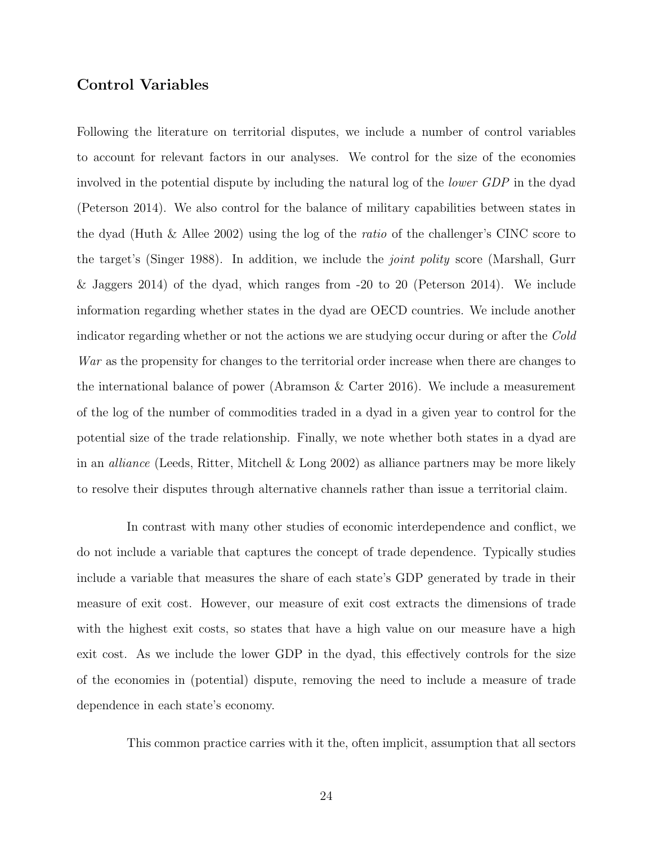#### Control Variables

Following the literature on territorial disputes, we include a number of control variables to account for relevant factors in our analyses. We control for the size of the economies involved in the potential dispute by including the natural log of the lower GDP in the dyad (Peterson 2014). We also control for the balance of military capabilities between states in the dyad (Huth & Allee 2002) using the log of the ratio of the challenger's CINC score to the target's (Singer 1988). In addition, we include the joint polity score (Marshall, Gurr & Jaggers 2014) of the dyad, which ranges from -20 to 20 (Peterson 2014). We include information regarding whether states in the dyad are OECD countries. We include another indicator regarding whether or not the actions we are studying occur during or after the Cold War as the propensity for changes to the territorial order increase when there are changes to the international balance of power (Abramson & Carter 2016). We include a measurement of the log of the number of commodities traded in a dyad in a given year to control for the potential size of the trade relationship. Finally, we note whether both states in a dyad are in an *alliance* (Leeds, Ritter, Mitchell  $\&$  Long 2002) as alliance partners may be more likely to resolve their disputes through alternative channels rather than issue a territorial claim.

In contrast with many other studies of economic interdependence and conflict, we do not include a variable that captures the concept of trade dependence. Typically studies include a variable that measures the share of each state's GDP generated by trade in their measure of exit cost. However, our measure of exit cost extracts the dimensions of trade with the highest exit costs, so states that have a high value on our measure have a high exit cost. As we include the lower GDP in the dyad, this effectively controls for the size of the economies in (potential) dispute, removing the need to include a measure of trade dependence in each state's economy.

This common practice carries with it the, often implicit, assumption that all sectors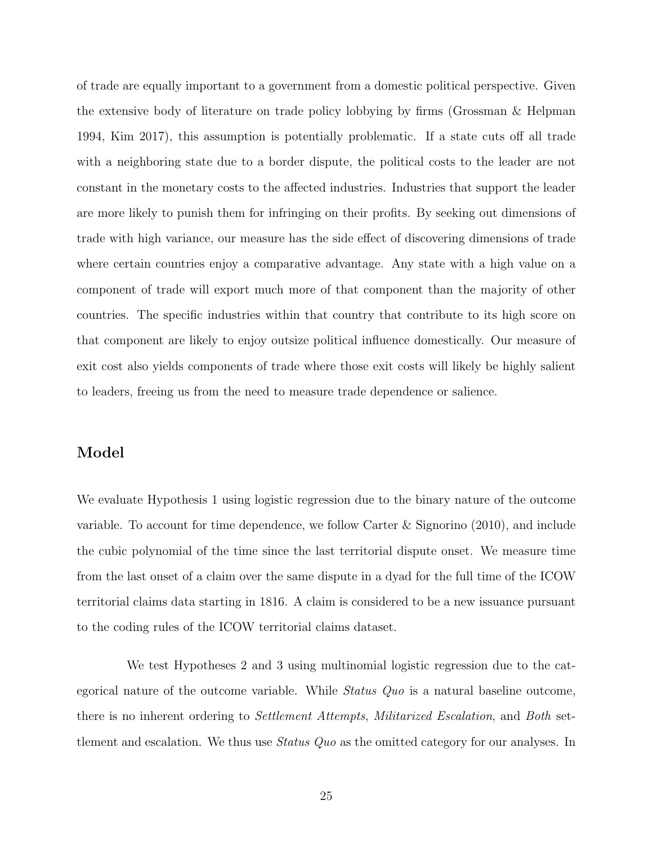of trade are equally important to a government from a domestic political perspective. Given the extensive body of literature on trade policy lobbying by firms (Grossman & Helpman 1994, Kim 2017), this assumption is potentially problematic. If a state cuts off all trade with a neighboring state due to a border dispute, the political costs to the leader are not constant in the monetary costs to the affected industries. Industries that support the leader are more likely to punish them for infringing on their profits. By seeking out dimensions of trade with high variance, our measure has the side effect of discovering dimensions of trade where certain countries enjoy a comparative advantage. Any state with a high value on a component of trade will export much more of that component than the majority of other countries. The specific industries within that country that contribute to its high score on that component are likely to enjoy outsize political influence domestically. Our measure of exit cost also yields components of trade where those exit costs will likely be highly salient to leaders, freeing us from the need to measure trade dependence or salience.

#### Model

We evaluate Hypothesis 1 using logistic regression due to the binary nature of the outcome variable. To account for time dependence, we follow Carter & Signorino (2010), and include the cubic polynomial of the time since the last territorial dispute onset. We measure time from the last onset of a claim over the same dispute in a dyad for the full time of the ICOW territorial claims data starting in 1816. A claim is considered to be a new issuance pursuant to the coding rules of the ICOW territorial claims dataset.

We test Hypotheses 2 and 3 using multinomial logistic regression due to the categorical nature of the outcome variable. While *Status Quo* is a natural baseline outcome, there is no inherent ordering to Settlement Attempts, Militarized Escalation, and Both settlement and escalation. We thus use Status Quo as the omitted category for our analyses. In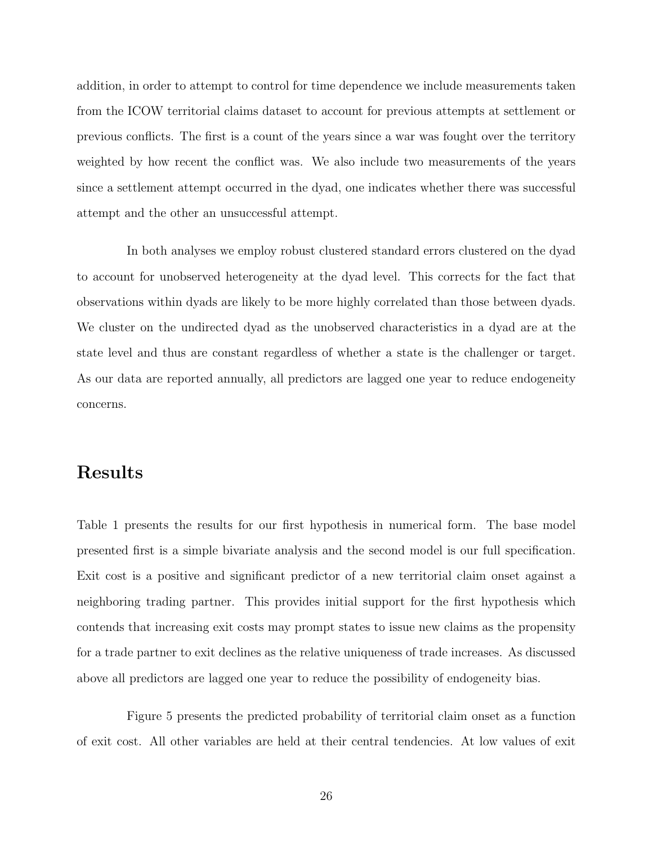addition, in order to attempt to control for time dependence we include measurements taken from the ICOW territorial claims dataset to account for previous attempts at settlement or previous conflicts. The first is a count of the years since a war was fought over the territory weighted by how recent the conflict was. We also include two measurements of the years since a settlement attempt occurred in the dyad, one indicates whether there was successful attempt and the other an unsuccessful attempt.

In both analyses we employ robust clustered standard errors clustered on the dyad to account for unobserved heterogeneity at the dyad level. This corrects for the fact that observations within dyads are likely to be more highly correlated than those between dyads. We cluster on the undirected dyad as the unobserved characteristics in a dyad are at the state level and thus are constant regardless of whether a state is the challenger or target. As our data are reported annually, all predictors are lagged one year to reduce endogeneity concerns.

# Results

Table [1](#page-26-0) presents the results for our first hypothesis in numerical form. The base model presented first is a simple bivariate analysis and the second model is our full specification. Exit cost is a positive and significant predictor of a new territorial claim onset against a neighboring trading partner. This provides initial support for the first hypothesis which contends that increasing exit costs may prompt states to issue new claims as the propensity for a trade partner to exit declines as the relative uniqueness of trade increases. As discussed above all predictors are lagged one year to reduce the possibility of endogeneity bias.

Figure [5](#page-27-0) presents the predicted probability of territorial claim onset as a function of exit cost. All other variables are held at their central tendencies. At low values of exit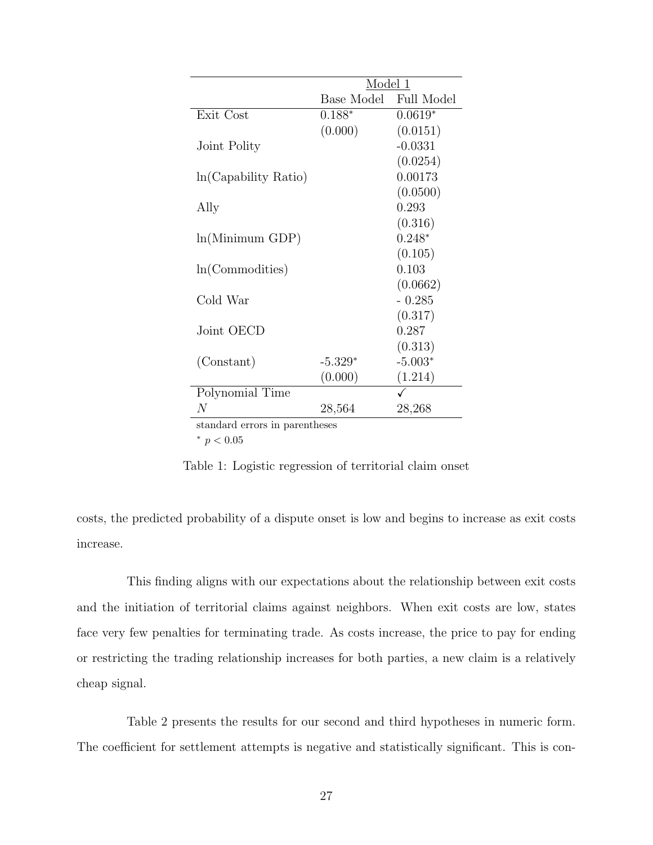<span id="page-26-0"></span>

|                      | Model 1    |                   |
|----------------------|------------|-------------------|
|                      | Base Model | <b>Full Model</b> |
| Exit Cost            | $0.188*$   | $0.0619*$         |
|                      | (0.000)    | (0.0151)          |
| Joint Polity         |            | $-0.0331$         |
|                      |            | (0.0254)          |
| ln(Capability Ratio) |            | 0.00173           |
|                      |            | (0.0500)          |
| Ally                 |            | 0.293             |
|                      |            | (0.316)           |
| ln(Minimum GDP)      |            | $0.248*$          |
|                      |            | (0.105)           |
| ln(Commodities)      |            | 0.103             |
|                      |            | (0.0662)          |
| Cold War             |            | $-0.285$          |
|                      |            | (0.317)           |
| Joint OECD           |            | 0.287             |
|                      |            | (0.313)           |
| (Constant)           | $-5.329*$  | $-5.003*$         |
|                      | (0.000)    | (1.214)           |
| Polynomial Time      |            |                   |
| N                    | 28,564     | 28,268            |

standard errors in parentheses

<sup>∗</sup> p < 0.05

Table 1: Logistic regression of territorial claim onset

costs, the predicted probability of a dispute onset is low and begins to increase as exit costs increase.

This finding aligns with our expectations about the relationship between exit costs and the initiation of territorial claims against neighbors. When exit costs are low, states face very few penalties for terminating trade. As costs increase, the price to pay for ending or restricting the trading relationship increases for both parties, a new claim is a relatively cheap signal.

Table [2](#page-28-0) presents the results for our second and third hypotheses in numeric form. The coefficient for settlement attempts is negative and statistically significant. This is con-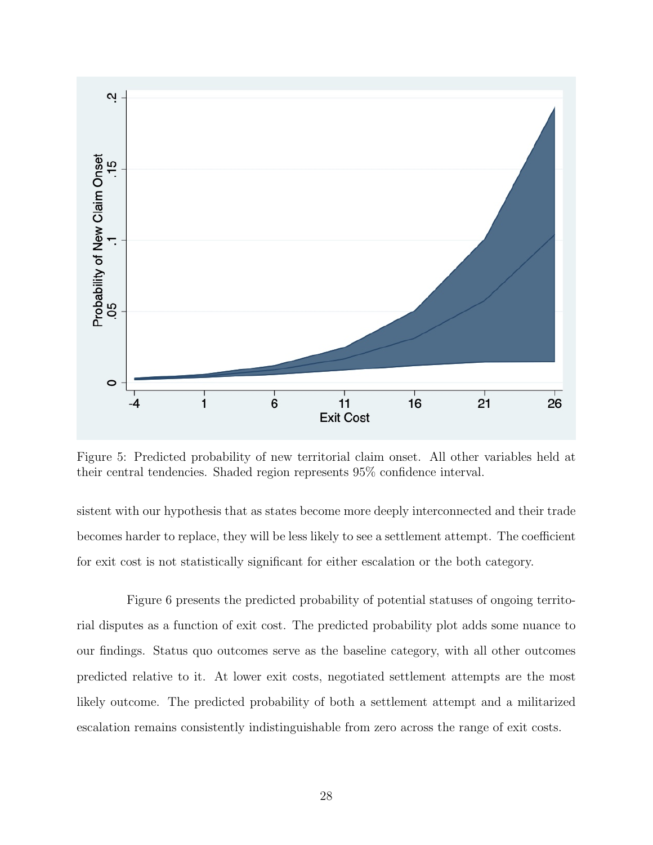<span id="page-27-0"></span>

Figure 5: Predicted probability of new territorial claim onset. All other variables held at their central tendencies. Shaded region represents 95% confidence interval.

sistent with our hypothesis that as states become more deeply interconnected and their trade becomes harder to replace, they will be less likely to see a settlement attempt. The coefficient for exit cost is not statistically significant for either escalation or the both category.

Figure [6](#page-29-0) presents the predicted probability of potential statuses of ongoing territorial disputes as a function of exit cost. The predicted probability plot adds some nuance to our findings. Status quo outcomes serve as the baseline category, with all other outcomes predicted relative to it. At lower exit costs, negotiated settlement attempts are the most likely outcome. The predicted probability of both a settlement attempt and a militarized escalation remains consistently indistinguishable from zero across the range of exit costs.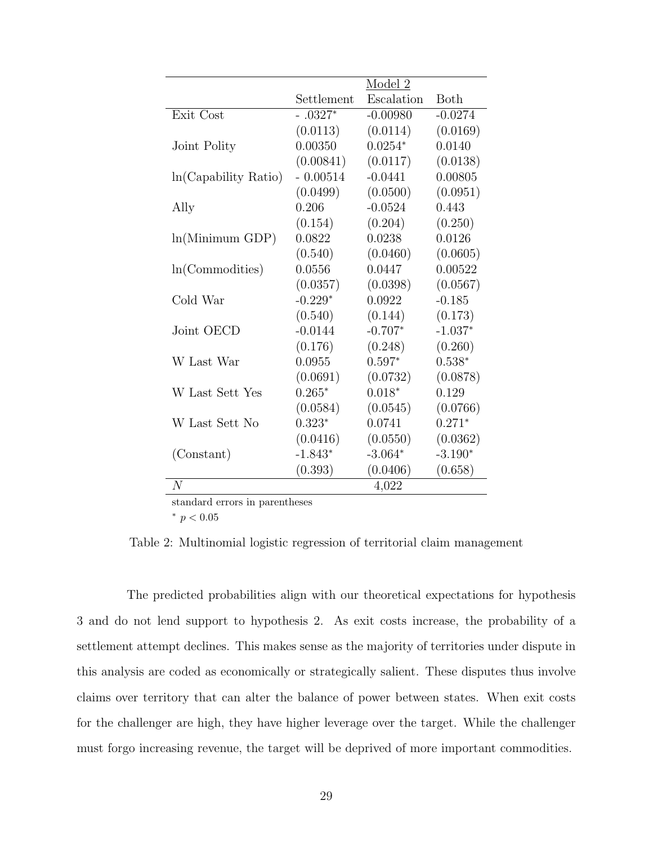<span id="page-28-0"></span>

|                      | Model 2    |            |             |
|----------------------|------------|------------|-------------|
|                      | Settlement | Escalation | <b>Both</b> |
| Exit Cost            | $-.0327*$  | $-0.00980$ | $-0.0274$   |
|                      | (0.0113)   | (0.0114)   | (0.0169)    |
| Joint Polity         | 0.00350    | $0.0254*$  | 0.0140      |
|                      | (0.00841)  | (0.0117)   | (0.0138)    |
| ln(Capability Ratio) | $-0.00514$ | $-0.0441$  | 0.00805     |
|                      | (0.0499)   | (0.0500)   | (0.0951)    |
| Ally                 | 0.206      | $-0.0524$  | 0.443       |
|                      | (0.154)    | (0.204)    | (0.250)     |
| ln(Minimum GDP)      | 0.0822     | 0.0238     | 0.0126      |
|                      | (0.540)    | (0.0460)   | (0.0605)    |
| ln(Commodities)      | 0.0556     | 0.0447     | 0.00522     |
|                      | (0.0357)   | (0.0398)   | (0.0567)    |
| Cold War             | $-0.229*$  | 0.0922     | $-0.185$    |
|                      | (0.540)    | (0.144)    | (0.173)     |
| Joint OECD           | $-0.0144$  | $-0.707*$  | $-1.037*$   |
|                      | (0.176)    | (0.248)    | (0.260)     |
| W Last War           | 0.0955     | $0.597*$   | $0.538*$    |
|                      | (0.0691)   | (0.0732)   | (0.0878)    |
| W Last Sett Yes      | $0.265*$   | $0.018*$   | 0.129       |
|                      | (0.0584)   | (0.0545)   | (0.0766)    |
| W Last Sett No       | $0.323*$   | 0.0741     | $0.271*$    |
|                      | (0.0416)   | (0.0550)   | (0.0362)    |
| (Constant)           | $-1.843*$  | $-3.064*$  | $-3.190*$   |
|                      | (0.393)    | (0.0406)   | (0.658)     |
| $\overline{N}$       |            | 4,022      |             |

standard errors in parentheses

 $^*$   $p<0.05$ 

Table 2: Multinomial logistic regression of territorial claim management

The predicted probabilities align with our theoretical expectations for hypothesis 3 and do not lend support to hypothesis 2. As exit costs increase, the probability of a settlement attempt declines. This makes sense as the majority of territories under dispute in this analysis are coded as economically or strategically salient. These disputes thus involve claims over territory that can alter the balance of power between states. When exit costs for the challenger are high, they have higher leverage over the target. While the challenger must forgo increasing revenue, the target will be deprived of more important commodities.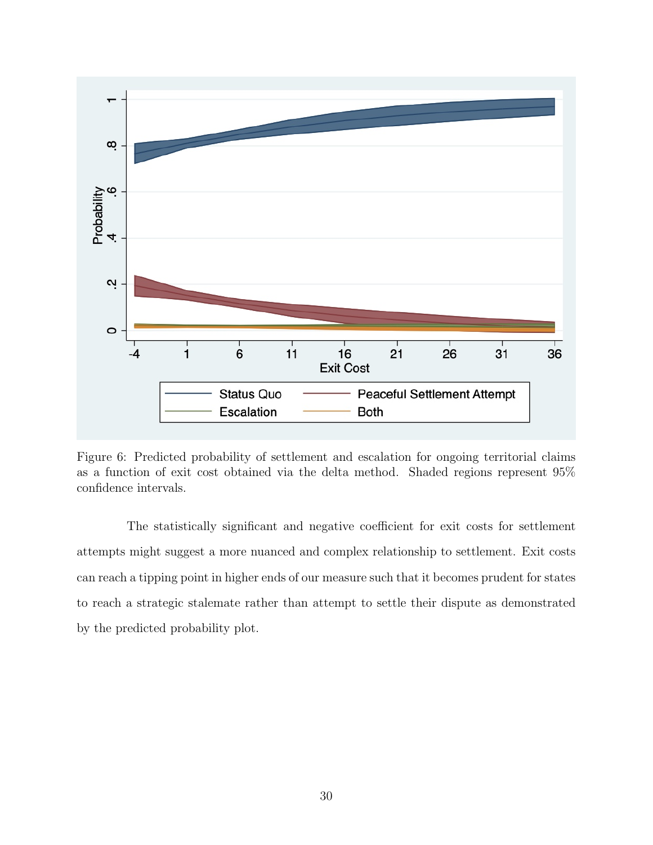<span id="page-29-0"></span>

Figure 6: Predicted probability of settlement and escalation for ongoing territorial claims as a function of exit cost obtained via the delta method. Shaded regions represent 95% confidence intervals.

The statistically significant and negative coefficient for exit costs for settlement attempts might suggest a more nuanced and complex relationship to settlement. Exit costs can reach a tipping point in higher ends of our measure such that it becomes prudent for states to reach a strategic stalemate rather than attempt to settle their dispute as demonstrated by the predicted probability plot.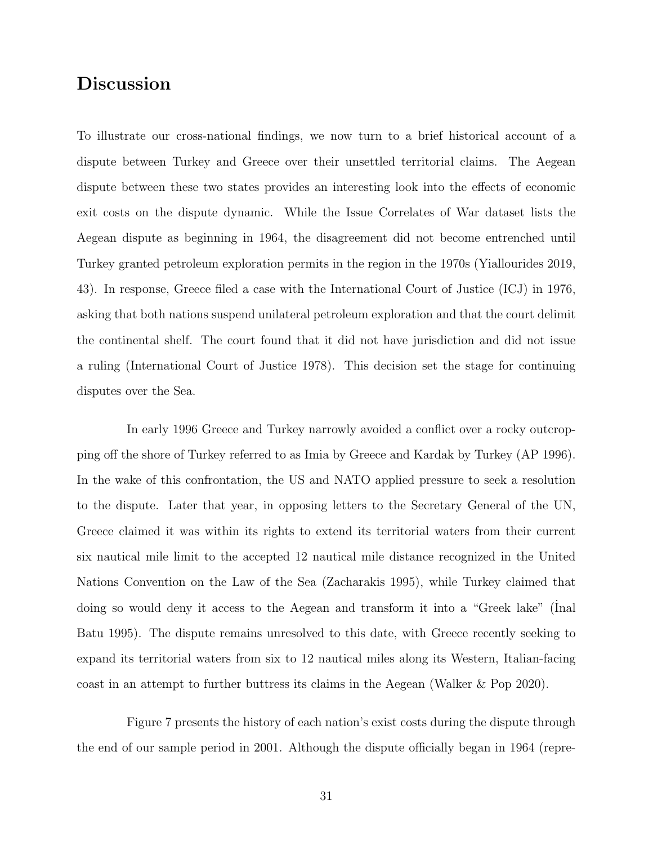# Discussion

To illustrate our cross-national findings, we now turn to a brief historical account of a dispute between Turkey and Greece over their unsettled territorial claims. The Aegean dispute between these two states provides an interesting look into the effects of economic exit costs on the dispute dynamic. While the Issue Correlates of War dataset lists the Aegean dispute as beginning in 1964, the disagreement did not become entrenched until Turkey granted petroleum exploration permits in the region in the 1970s (Yiallourides 2019, 43). In response, Greece filed a case with the International Court of Justice (ICJ) in 1976, asking that both nations suspend unilateral petroleum exploration and that the court delimit the continental shelf. The court found that it did not have jurisdiction and did not issue a ruling (International Court of Justice 1978). This decision set the stage for continuing disputes over the Sea.

In early 1996 Greece and Turkey narrowly avoided a conflict over a rocky outcropping off the shore of Turkey referred to as Imia by Greece and Kardak by Turkey (AP 1996). In the wake of this confrontation, the US and NATO applied pressure to seek a resolution to the dispute. Later that year, in opposing letters to the Secretary General of the UN, Greece claimed it was within its rights to extend its territorial waters from their current six nautical mile limit to the accepted 12 nautical mile distance recognized in the United Nations Convention on the Law of the Sea (Zacharakis 1995), while Turkey claimed that doing so would deny it access to the Aegean and transform it into a "Greek lake" (Inal Batu 1995). The dispute remains unresolved to this date, with Greece recently seeking to expand its territorial waters from six to 12 nautical miles along its Western, Italian-facing coast in an attempt to further buttress its claims in the Aegean (Walker & Pop 2020).

Figure [7](#page-31-0) presents the history of each nation's exist costs during the dispute through the end of our sample period in 2001. Although the dispute officially began in 1964 (repre-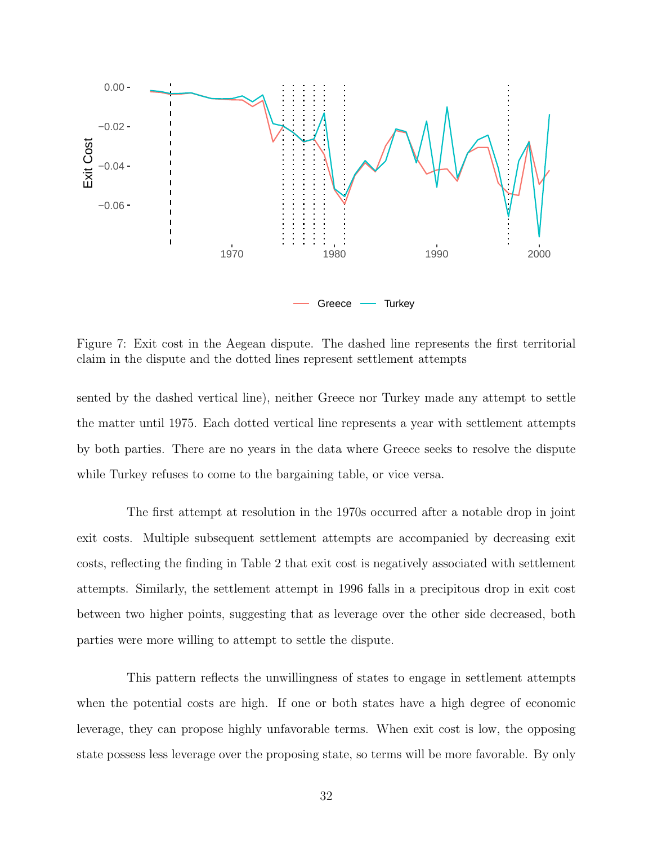<span id="page-31-0"></span>

Figure 7: Exit cost in the Aegean dispute. The dashed line represents the first territorial claim in the dispute and the dotted lines represent settlement attempts

sented by the dashed vertical line), neither Greece nor Turkey made any attempt to settle the matter until 1975. Each dotted vertical line represents a year with settlement attempts by both parties. There are no years in the data where Greece seeks to resolve the dispute while Turkey refuses to come to the bargaining table, or vice versa.

The first attempt at resolution in the 1970s occurred after a notable drop in joint exit costs. Multiple subsequent settlement attempts are accompanied by decreasing exit costs, reflecting the finding in Table [2](#page-28-0) that exit cost is negatively associated with settlement attempts. Similarly, the settlement attempt in 1996 falls in a precipitous drop in exit cost between two higher points, suggesting that as leverage over the other side decreased, both parties were more willing to attempt to settle the dispute.

This pattern reflects the unwillingness of states to engage in settlement attempts when the potential costs are high. If one or both states have a high degree of economic leverage, they can propose highly unfavorable terms. When exit cost is low, the opposing state possess less leverage over the proposing state, so terms will be more favorable. By only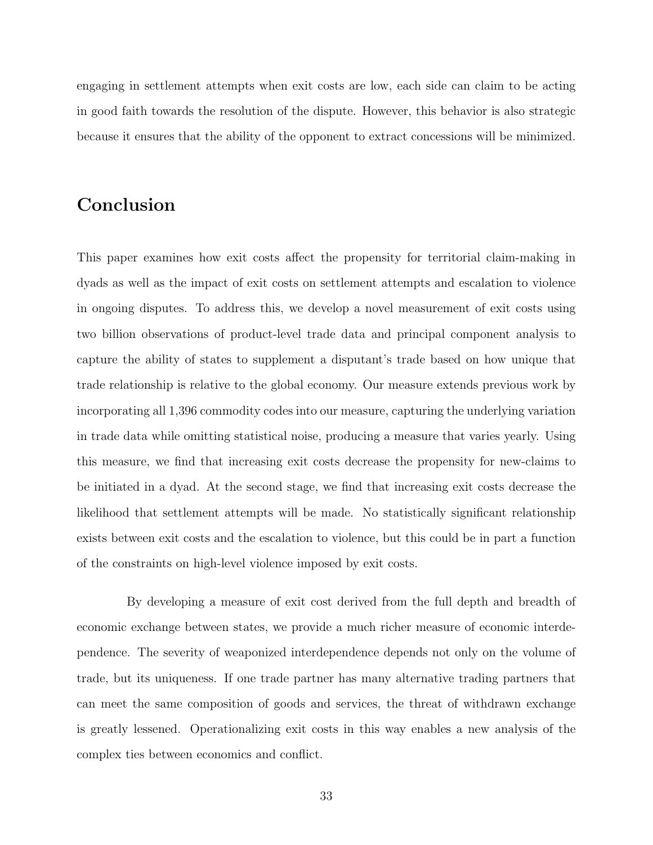engaging in settlement attempts when exit costs are low, each side can claim to be acting in good faith towards the resolution of the dispute. However, this behavior is also strategic because it ensures that the ability of the opponent to extract concessions will be minimized.

# Conclusion

This paper examines how exit costs affect the propensity for territorial claim-making in dyads as well as the impact of exit costs on settlement attempts and escalation to violence in ongoing disputes. To address this, we develop a novel measurement of exit costs using two billion observations of product-level trade data and principal component analysis to capture the ability of states to supplement a disputant's trade based on how unique that trade relationship is relative to the global economy. Our measure extends previous work by incorporating all 1,396 commodity codes into our measure, capturing the underlying variation in trade data while omitting statistical noise, producing a measure that varies yearly. Using this measure, we find that increasing exit costs decrease the propensity for new-claims to be initiated in a dyad. At the second stage, we find that increasing exit costs decrease the likelihood that settlement attempts will be made. No statistically significant relationship exists between exit costs and the escalation to violence, but this could be in part a function of the constraints on high-level violence imposed by exit costs.

By developing a measure of exit cost derived from the full depth and breadth of economic exchange between states, we provide a much richer measure of economic interdependence. The severity of weaponized interdependence depends not only on the volume of trade, but its uniqueness. If one trade partner has many alternative trading partners that can meet the same composition of goods and services, the threat of withdrawn exchange is greatly lessened. Operationalizing exit costs in this way enables a new analysis of the complex ties between economics and conflict.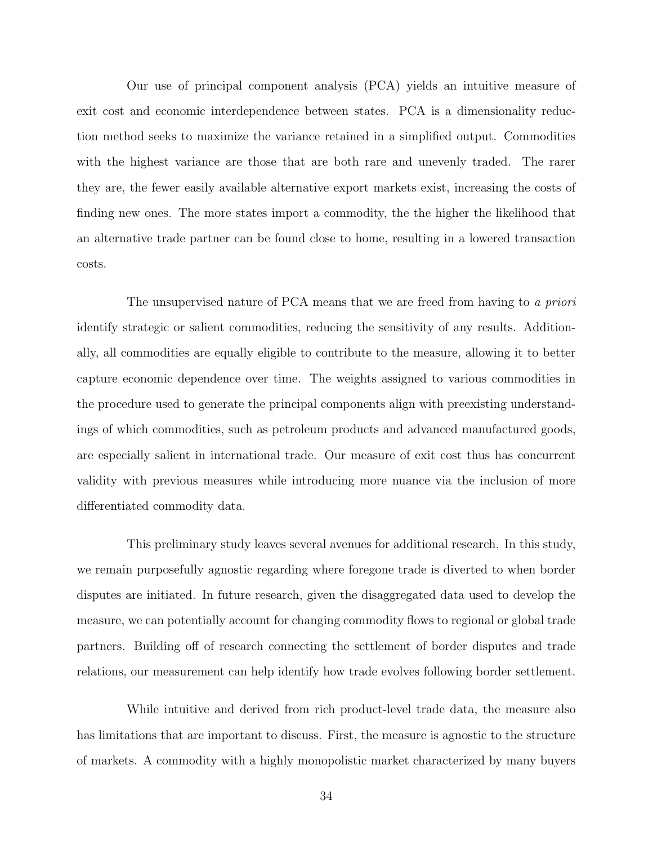Our use of principal component analysis (PCA) yields an intuitive measure of exit cost and economic interdependence between states. PCA is a dimensionality reduction method seeks to maximize the variance retained in a simplified output. Commodities with the highest variance are those that are both rare and unevenly traded. The rarer they are, the fewer easily available alternative export markets exist, increasing the costs of finding new ones. The more states import a commodity, the the higher the likelihood that an alternative trade partner can be found close to home, resulting in a lowered transaction costs.

The unsupervised nature of PCA means that we are freed from having to a priori identify strategic or salient commodities, reducing the sensitivity of any results. Additionally, all commodities are equally eligible to contribute to the measure, allowing it to better capture economic dependence over time. The weights assigned to various commodities in the procedure used to generate the principal components align with preexisting understandings of which commodities, such as petroleum products and advanced manufactured goods, are especially salient in international trade. Our measure of exit cost thus has concurrent validity with previous measures while introducing more nuance via the inclusion of more differentiated commodity data.

This preliminary study leaves several avenues for additional research. In this study, we remain purposefully agnostic regarding where foregone trade is diverted to when border disputes are initiated. In future research, given the disaggregated data used to develop the measure, we can potentially account for changing commodity flows to regional or global trade partners. Building off of research connecting the settlement of border disputes and trade relations, our measurement can help identify how trade evolves following border settlement.

While intuitive and derived from rich product-level trade data, the measure also has limitations that are important to discuss. First, the measure is agnostic to the structure of markets. A commodity with a highly monopolistic market characterized by many buyers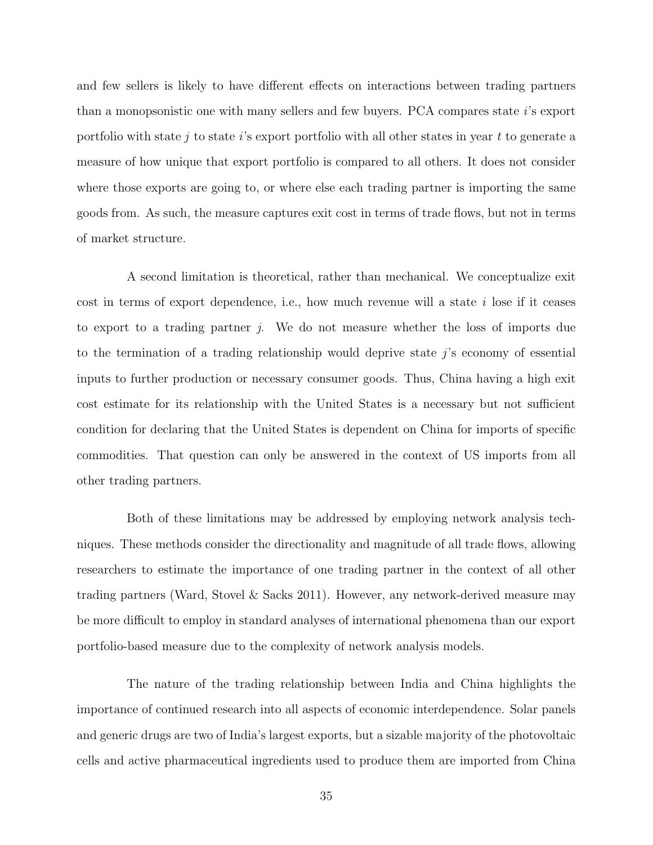and few sellers is likely to have different effects on interactions between trading partners than a monopsonistic one with many sellers and few buyers. PCA compares state  $i$ 's export portfolio with state j to state i's export portfolio with all other states in year t to generate a measure of how unique that export portfolio is compared to all others. It does not consider where those exports are going to, or where else each trading partner is importing the same goods from. As such, the measure captures exit cost in terms of trade flows, but not in terms of market structure.

A second limitation is theoretical, rather than mechanical. We conceptualize exit cost in terms of export dependence, i.e., how much revenue will a state  $i$  lose if it ceases to export to a trading partner j. We do not measure whether the loss of imports due to the termination of a trading relationship would deprive state  $j$ 's economy of essential inputs to further production or necessary consumer goods. Thus, China having a high exit cost estimate for its relationship with the United States is a necessary but not sufficient condition for declaring that the United States is dependent on China for imports of specific commodities. That question can only be answered in the context of US imports from all other trading partners.

Both of these limitations may be addressed by employing network analysis techniques. These methods consider the directionality and magnitude of all trade flows, allowing researchers to estimate the importance of one trading partner in the context of all other trading partners (Ward, Stovel & Sacks 2011). However, any network-derived measure may be more difficult to employ in standard analyses of international phenomena than our export portfolio-based measure due to the complexity of network analysis models.

The nature of the trading relationship between India and China highlights the importance of continued research into all aspects of economic interdependence. Solar panels and generic drugs are two of India's largest exports, but a sizable majority of the photovoltaic cells and active pharmaceutical ingredients used to produce them are imported from China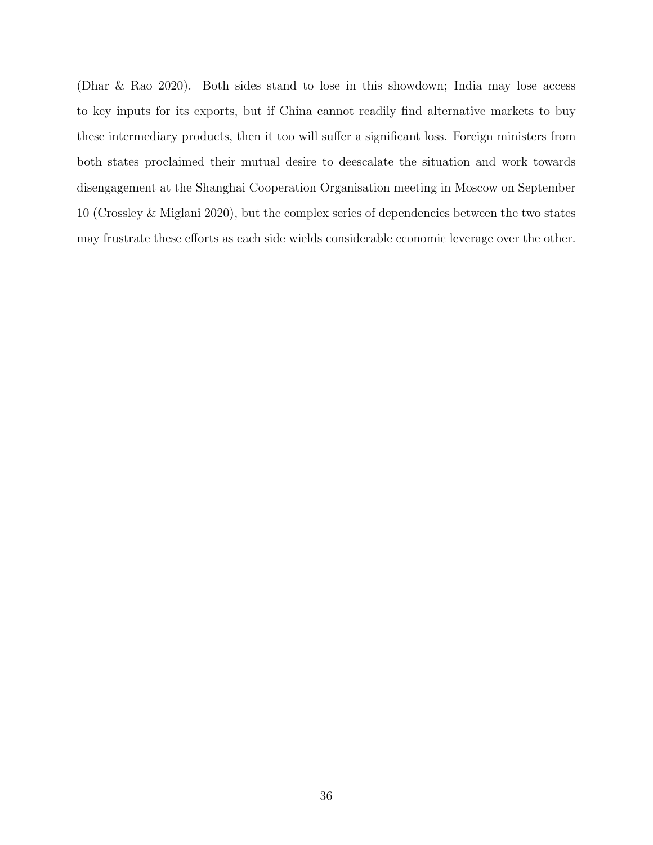(Dhar & Rao 2020). Both sides stand to lose in this showdown; India may lose access to key inputs for its exports, but if China cannot readily find alternative markets to buy these intermediary products, then it too will suffer a significant loss. Foreign ministers from both states proclaimed their mutual desire to deescalate the situation and work towards disengagement at the Shanghai Cooperation Organisation meeting in Moscow on September 10 (Crossley & Miglani 2020), but the complex series of dependencies between the two states may frustrate these efforts as each side wields considerable economic leverage over the other.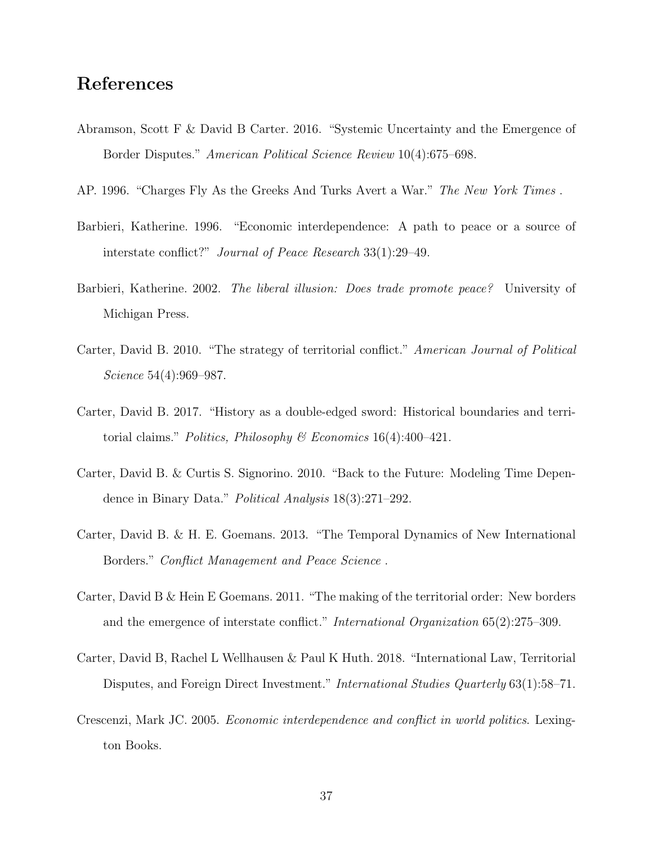# References

- Abramson, Scott F & David B Carter. 2016. "Systemic Uncertainty and the Emergence of Border Disputes." American Political Science Review 10(4):675–698.
- AP. 1996. "Charges Fly As the Greeks And Turks Avert a War." The New York Times .
- Barbieri, Katherine. 1996. "Economic interdependence: A path to peace or a source of interstate conflict?" Journal of Peace Research 33(1):29–49.
- Barbieri, Katherine. 2002. The liberal illusion: Does trade promote peace? University of Michigan Press.
- Carter, David B. 2010. "The strategy of territorial conflict." American Journal of Political Science 54(4):969–987.
- Carter, David B. 2017. "History as a double-edged sword: Historical boundaries and territorial claims." Politics, Philosophy & Economics  $16(4)$ :400-421.
- Carter, David B. & Curtis S. Signorino. 2010. "Back to the Future: Modeling Time Dependence in Binary Data." Political Analysis 18(3):271–292.
- Carter, David B. & H. E. Goemans. 2013. "The Temporal Dynamics of New International Borders." Conflict Management and Peace Science .
- Carter, David B & Hein E Goemans. 2011. "The making of the territorial order: New borders and the emergence of interstate conflict." International Organization 65(2):275–309.
- Carter, David B, Rachel L Wellhausen & Paul K Huth. 2018. "International Law, Territorial Disputes, and Foreign Direct Investment." *International Studies Quarterly* 63(1):58–71.
- Crescenzi, Mark JC. 2005. Economic interdependence and conflict in world politics. Lexington Books.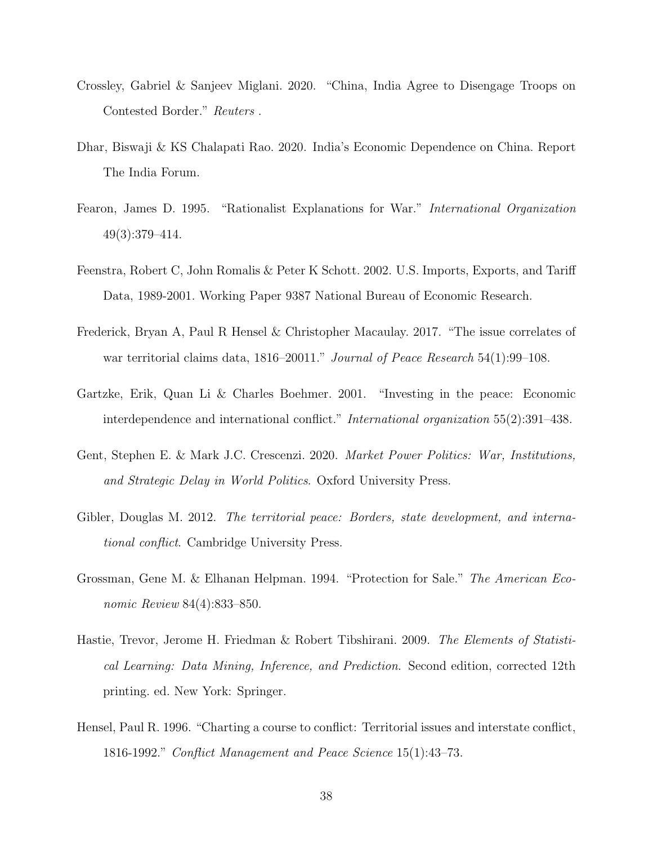- Crossley, Gabriel & Sanjeev Miglani. 2020. "China, India Agree to Disengage Troops on Contested Border." Reuters .
- Dhar, Biswaji & KS Chalapati Rao. 2020. India's Economic Dependence on China. Report The India Forum.
- Fearon, James D. 1995. "Rationalist Explanations for War." International Organization 49(3):379–414.
- Feenstra, Robert C, John Romalis & Peter K Schott. 2002. U.S. Imports, Exports, and Tariff Data, 1989-2001. Working Paper 9387 National Bureau of Economic Research.
- Frederick, Bryan A, Paul R Hensel & Christopher Macaulay. 2017. "The issue correlates of war territorial claims data, 1816–20011." Journal of Peace Research 54(1):99–108.
- Gartzke, Erik, Quan Li & Charles Boehmer. 2001. "Investing in the peace: Economic interdependence and international conflict." International organization 55(2):391–438.
- Gent, Stephen E. & Mark J.C. Crescenzi. 2020. Market Power Politics: War, Institutions, and Strategic Delay in World Politics. Oxford University Press.
- Gibler, Douglas M. 2012. The territorial peace: Borders, state development, and international conflict. Cambridge University Press.
- Grossman, Gene M. & Elhanan Helpman. 1994. "Protection for Sale." The American Economic Review 84(4):833–850.
- Hastie, Trevor, Jerome H. Friedman & Robert Tibshirani. 2009. The Elements of Statistical Learning: Data Mining, Inference, and Prediction. Second edition, corrected 12th printing. ed. New York: Springer.
- Hensel, Paul R. 1996. "Charting a course to conflict: Territorial issues and interstate conflict, 1816-1992." Conflict Management and Peace Science 15(1):43–73.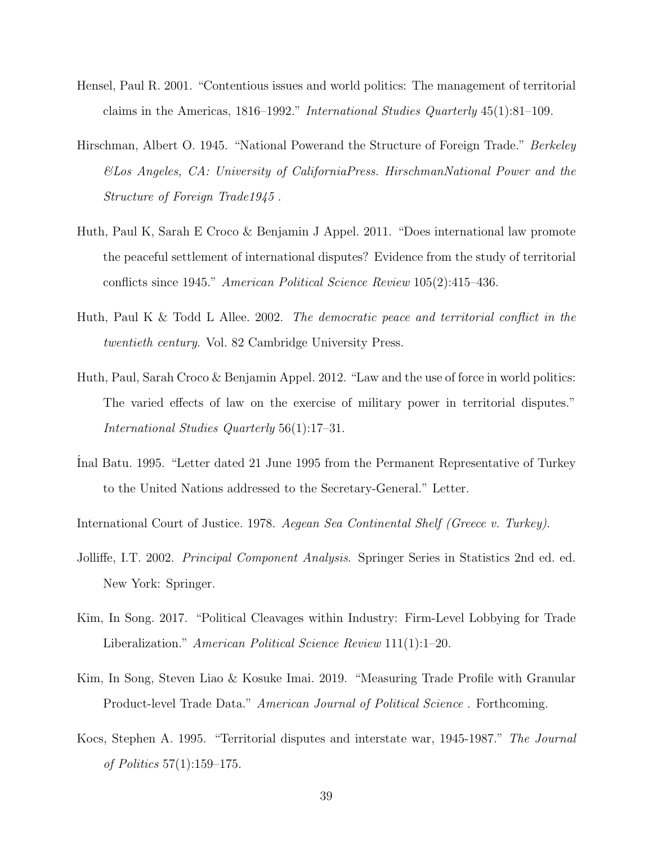- Hensel, Paul R. 2001. "Contentious issues and world politics: The management of territorial claims in the Americas, 1816–1992." International Studies Quarterly 45(1):81–109.
- Hirschman, Albert O. 1945. "National Powerand the Structure of Foreign Trade." Berkeley &Los Angeles, CA: University of CaliforniaPress. HirschmanNational Power and the Structure of Foreign Trade1945 .
- Huth, Paul K, Sarah E Croco & Benjamin J Appel. 2011. "Does international law promote the peaceful settlement of international disputes? Evidence from the study of territorial conflicts since 1945." American Political Science Review 105(2):415–436.
- Huth, Paul K & Todd L Allee. 2002. The democratic peace and territorial conflict in the twentieth century. Vol. 82 Cambridge University Press.
- Huth, Paul, Sarah Croco & Benjamin Appel. 2012. "Law and the use of force in world politics: The varied effects of law on the exercise of military power in territorial disputes." International Studies Quarterly 56(1):17–31.
- ˙Inal Batu. 1995. "Letter dated 21 June 1995 from the Permanent Representative of Turkey to the United Nations addressed to the Secretary-General." Letter.

International Court of Justice. 1978. Aegean Sea Continental Shelf (Greece v. Turkey).

- Jolliffe, I.T. 2002. *Principal Component Analysis*. Springer Series in Statistics 2nd ed. ed. New York: Springer.
- Kim, In Song. 2017. "Political Cleavages within Industry: Firm-Level Lobbying for Trade Liberalization." American Political Science Review 111(1):1–20.
- Kim, In Song, Steven Liao & Kosuke Imai. 2019. "Measuring Trade Profile with Granular Product-level Trade Data." American Journal of Political Science . Forthcoming.
- Kocs, Stephen A. 1995. "Territorial disputes and interstate war, 1945-1987." The Journal of Politics 57(1):159–175.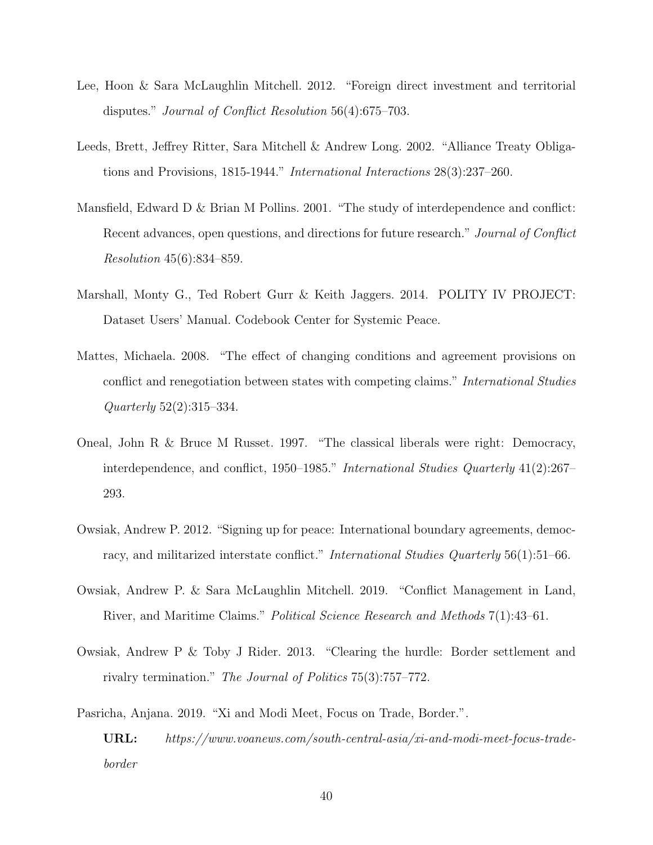- Lee, Hoon & Sara McLaughlin Mitchell. 2012. "Foreign direct investment and territorial disputes." Journal of Conflict Resolution 56(4):675–703.
- Leeds, Brett, Jeffrey Ritter, Sara Mitchell & Andrew Long. 2002. "Alliance Treaty Obligations and Provisions, 1815-1944." International Interactions 28(3):237–260.
- Mansfield, Edward D & Brian M Pollins. 2001. "The study of interdependence and conflict: Recent advances, open questions, and directions for future research." Journal of Conflict Resolution 45(6):834–859.
- Marshall, Monty G., Ted Robert Gurr & Keith Jaggers. 2014. POLITY IV PROJECT: Dataset Users' Manual. Codebook Center for Systemic Peace.
- Mattes, Michaela. 2008. "The effect of changing conditions and agreement provisions on conflict and renegotiation between states with competing claims." International Studies Quarterly 52(2):315–334.
- Oneal, John R & Bruce M Russet. 1997. "The classical liberals were right: Democracy, interdependence, and conflict, 1950–1985." International Studies Quarterly 41(2):267– 293.
- Owsiak, Andrew P. 2012. "Signing up for peace: International boundary agreements, democracy, and militarized interstate conflict." International Studies Quarterly 56(1):51–66.
- Owsiak, Andrew P. & Sara McLaughlin Mitchell. 2019. "Conflict Management in Land, River, and Maritime Claims." Political Science Research and Methods 7(1):43–61.
- Owsiak, Andrew P & Toby J Rider. 2013. "Clearing the hurdle: Border settlement and rivalry termination." The Journal of Politics 75(3):757–772.

Pasricha, Anjana. 2019. "Xi and Modi Meet, Focus on Trade, Border.".

URL: https://www.voanews.com/south-central-asia/xi-and-modi-meet-focus-tradeborder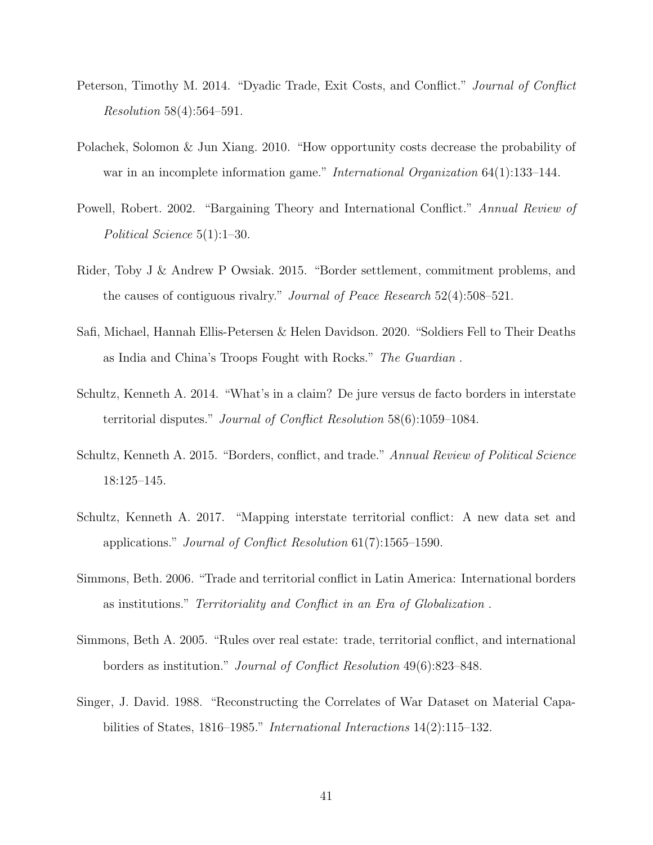- Peterson, Timothy M. 2014. "Dyadic Trade, Exit Costs, and Conflict." Journal of Conflict Resolution 58(4):564–591.
- Polachek, Solomon & Jun Xiang. 2010. "How opportunity costs decrease the probability of war in an incomplete information game." *International Organization* 64(1):133–144.
- Powell, Robert. 2002. "Bargaining Theory and International Conflict." Annual Review of Political Science 5(1):1–30.
- Rider, Toby J & Andrew P Owsiak. 2015. "Border settlement, commitment problems, and the causes of contiguous rivalry." Journal of Peace Research 52(4):508–521.
- Safi, Michael, Hannah Ellis-Petersen & Helen Davidson. 2020. "Soldiers Fell to Their Deaths as India and China's Troops Fought with Rocks." The Guardian .
- Schultz, Kenneth A. 2014. "What's in a claim? De jure versus de facto borders in interstate territorial disputes." Journal of Conflict Resolution 58(6):1059–1084.
- Schultz, Kenneth A. 2015. "Borders, conflict, and trade." Annual Review of Political Science 18:125–145.
- Schultz, Kenneth A. 2017. "Mapping interstate territorial conflict: A new data set and applications." Journal of Conflict Resolution 61(7):1565–1590.
- Simmons, Beth. 2006. "Trade and territorial conflict in Latin America: International borders as institutions." Territoriality and Conflict in an Era of Globalization .
- Simmons, Beth A. 2005. "Rules over real estate: trade, territorial conflict, and international borders as institution." Journal of Conflict Resolution 49(6):823–848.
- Singer, J. David. 1988. "Reconstructing the Correlates of War Dataset on Material Capabilities of States, 1816–1985." International Interactions 14(2):115–132.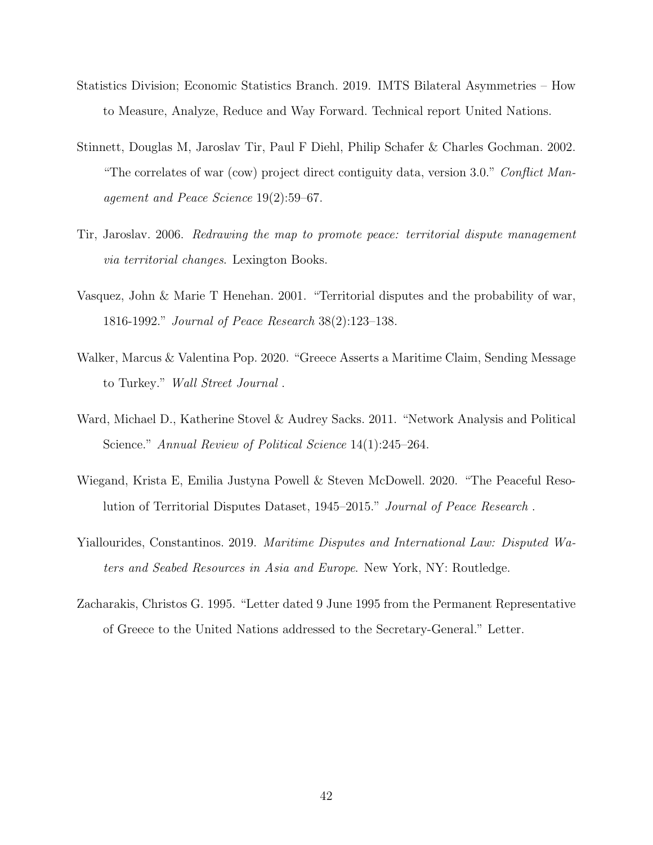- Statistics Division; Economic Statistics Branch. 2019. IMTS Bilateral Asymmetries How to Measure, Analyze, Reduce and Way Forward. Technical report United Nations.
- Stinnett, Douglas M, Jaroslav Tir, Paul F Diehl, Philip Schafer & Charles Gochman. 2002. "The correlates of war (cow) project direct contiguity data, version 3.0." Conflict Management and Peace Science 19(2):59–67.
- Tir, Jaroslav. 2006. Redrawing the map to promote peace: territorial dispute management via territorial changes. Lexington Books.
- Vasquez, John & Marie T Henehan. 2001. "Territorial disputes and the probability of war, 1816-1992." Journal of Peace Research 38(2):123–138.
- Walker, Marcus & Valentina Pop. 2020. "Greece Asserts a Maritime Claim, Sending Message to Turkey." Wall Street Journal .
- Ward, Michael D., Katherine Stovel & Audrey Sacks. 2011. "Network Analysis and Political Science." Annual Review of Political Science 14(1):245–264.
- Wiegand, Krista E, Emilia Justyna Powell & Steven McDowell. 2020. "The Peaceful Resolution of Territorial Disputes Dataset, 1945–2015." Journal of Peace Research .
- Yiallourides, Constantinos. 2019. Maritime Disputes and International Law: Disputed Waters and Seabed Resources in Asia and Europe. New York, NY: Routledge.
- Zacharakis, Christos G. 1995. "Letter dated 9 June 1995 from the Permanent Representative of Greece to the United Nations addressed to the Secretary-General." Letter.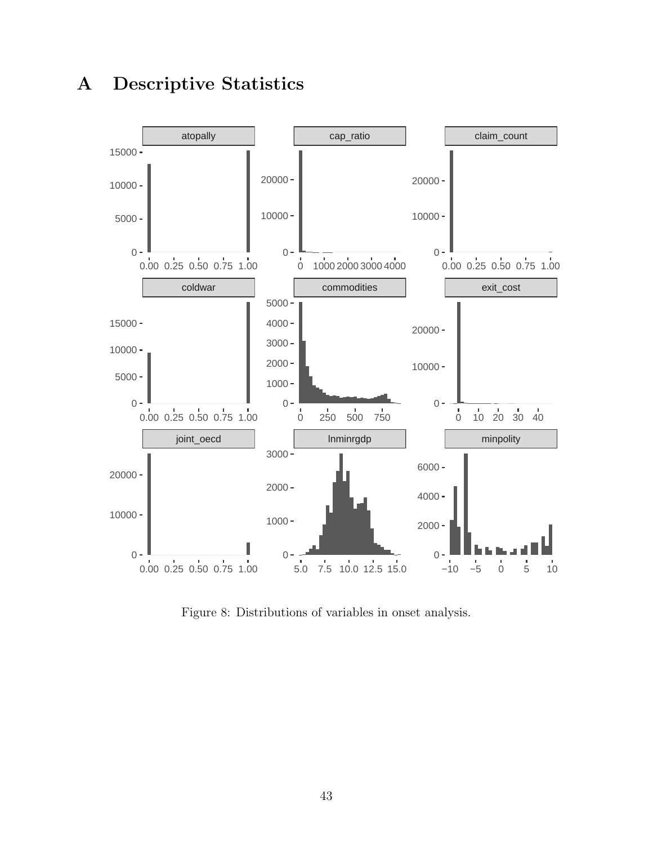

# A Descriptive Statistics

Figure 8: Distributions of variables in onset analysis.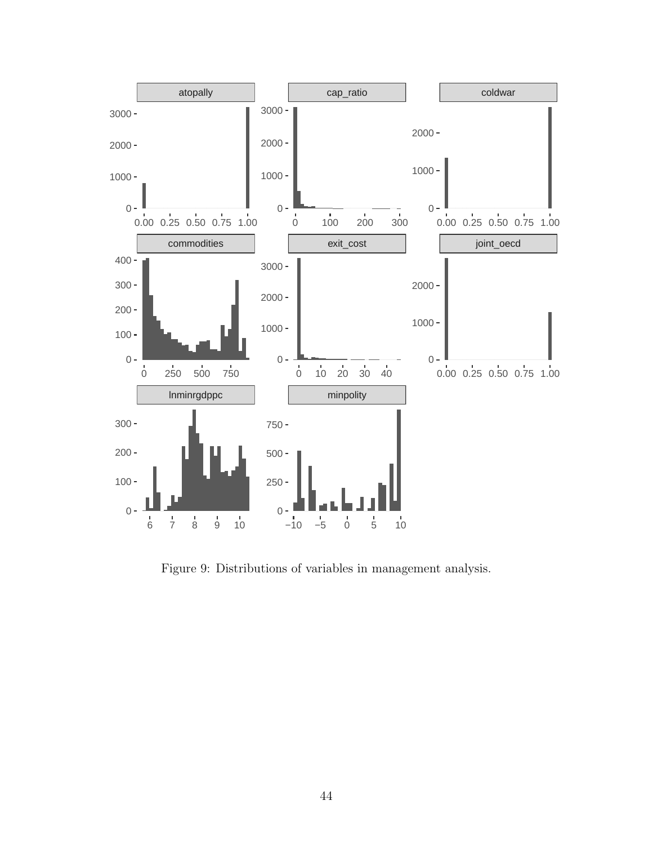

Figure 9: Distributions of variables in management analysis.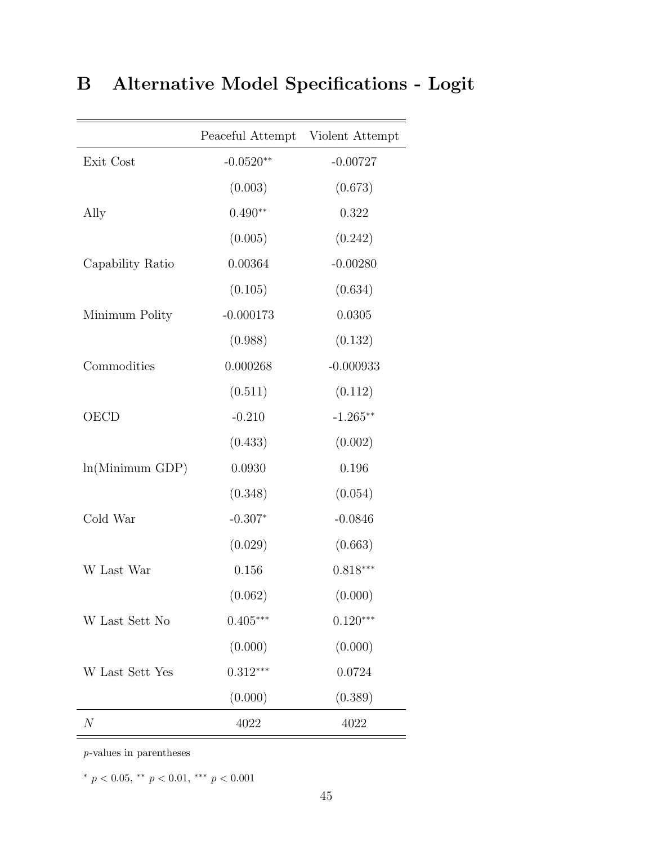|                  | Peaceful Attempt Violent Attempt |             |
|------------------|----------------------------------|-------------|
| Exit Cost        | $-0.0520**$                      | $-0.00727$  |
|                  | (0.003)                          | (0.673)     |
| Ally             | $0.490**$                        | 0.322       |
|                  | (0.005)                          | (0.242)     |
| Capability Ratio | 0.00364                          | $-0.00280$  |
|                  | (0.105)                          | (0.634)     |
| Minimum Polity   | $-0.000173$                      | 0.0305      |
|                  | (0.988)                          | (0.132)     |
| Commodities      | 0.000268                         | $-0.000933$ |
|                  | (0.511)                          | (0.112)     |
| <b>OECD</b>      | $-0.210$                         | $-1.265**$  |
|                  | (0.433)                          | (0.002)     |
| ln(Minimum GDP)  | 0.0930                           | 0.196       |
|                  | (0.348)                          | (0.054)     |
| Cold War         | $-0.307*$                        | $-0.0846$   |
|                  | (0.029)                          | (0.663)     |
| W Last War       | 0.156                            | $0.818***$  |
|                  | (0.062)                          | (0.000)     |
| W Last Sett No   | $0.405***$                       | $0.120***$  |
|                  | (0.000)                          | (0.000)     |
| W Last Sett Yes  | $0.312***$                       | 0.0724      |
|                  | (0.000)                          | (0.389)     |
| $\mathcal N$     | 4022                             | 4022        |

# B Alternative Model Specifications - Logit

 $=$ 

p-values in parentheses

\*  $p < 0.05$ , \*\*  $p < 0.01$ , \*\*\*  $p < 0.001$